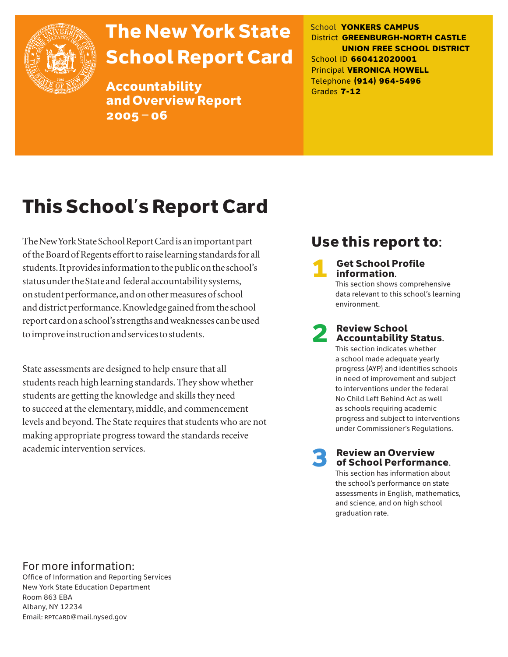

# The New York State School Report Card

Accountability and Overview Report 2005–06

School **YONKERS CAMPUS** District **GREENBURGH-NORTH CASTLE UNION FREE SCHOOL DISTRICT** School ID **660412020001** Principal **VERONICA HOWELL** Telephone **(914) 964-5496** Grades **7-12**

# This School's Report Card

The New York State School Report Card is an important part of the Board of Regents effort to raise learning standards for all students. It provides information to the public on the school's status under the State and federal accountability systems, on student performance, and on other measures of school and district performance. Knowledge gained from the school report card on a school's strengths and weaknesses can be used to improve instruction and services to students.

State assessments are designed to help ensure that all students reach high learning standards. They show whether students are getting the knowledge and skills they need to succeed at the elementary, middle, and commencement levels and beyond. The State requires that students who are not making appropriate progress toward the standards receive academic intervention services.

## Use this report to:

**Get School Profile** information. This section shows comprehensive data relevant to this school's learning

# 2 Review School Accountability Status.

environment.

This section indicates whether a school made adequate yearly progress (AYP) and identifies schools in need of improvement and subject to interventions under the federal No Child Left Behind Act as well as schools requiring academic progress and subject to interventions under Commissioner's Regulations.

**Review an Overview** of School Performance.

This section has information about the school's performance on state assessments in English, mathematics, and science, and on high school graduation rate.

### For more information:

Office of Information and Reporting Services New York State Education Department Room 863 EBA Albany, NY 12234 Email: RPTCARD@mail.nysed.gov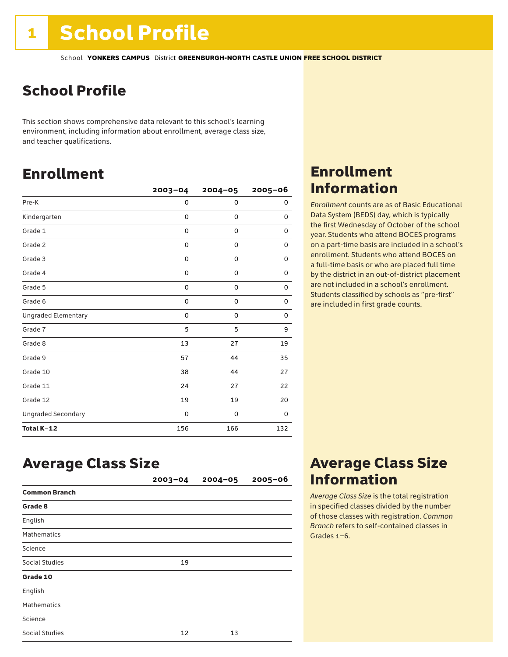## School Profile

This section shows comprehensive data relevant to this school's learning environment, including information about enrollment, average class size, and teacher qualifications.

### Enrollment

|                            | $2003 - 04$ | $2004 - 05$ | 2005-06  |
|----------------------------|-------------|-------------|----------|
| Pre-K                      | 0           | 0           | 0        |
| Kindergarten               | 0           | 0           | 0        |
| Grade 1                    | 0           | 0           | 0        |
| Grade 2                    | 0           | 0           | 0        |
| Grade 3                    | $\mathbf 0$ | 0           | 0        |
| Grade 4                    | 0           | 0           | 0        |
| Grade 5                    | 0           | 0           | 0        |
| Grade 6                    | 0           | 0           | 0        |
| <b>Ungraded Elementary</b> | 0           | 0           | 0        |
| Grade 7                    | 5           | 5           | 9        |
| Grade 8                    | 13          | 27          | 19       |
| Grade 9                    | 57          | 44          | 35       |
| Grade 10                   | 38          | 44          | 27       |
| Grade 11                   | 24          | 27          | 22       |
| Grade 12                   | 19          | 19          | 20       |
| <b>Ungraded Secondary</b>  | 0           | 0           | $\Omega$ |
| Total K-12                 | 156         | 166         | 132      |

### Enrollment Information

*Enrollment* counts are as of Basic Educational Data System (BEDS) day, which is typically the first Wednesday of October of the school year. Students who attend BOCES programs on a part-time basis are included in a school's enrollment. Students who attend BOCES on a full-time basis or who are placed full time by the district in an out-of-district placement are not included in a school's enrollment. Students classified by schools as "pre-first" are included in first grade counts.

### Average Class Size

|                       | $2003 - 04$ | $2004 - 05$ | $2005 - 06$ |
|-----------------------|-------------|-------------|-------------|
| <b>Common Branch</b>  |             |             |             |
| Grade 8               |             |             |             |
| English               |             |             |             |
| <b>Mathematics</b>    |             |             |             |
| Science               |             |             |             |
| Social Studies        | 19          |             |             |
| Grade 10              |             |             |             |
| English               |             |             |             |
| Mathematics           |             |             |             |
| Science               |             |             |             |
| <b>Social Studies</b> | 12          | 13          |             |

### Average Class Size Information

*Average Class Size* is the total registration in specified classes divided by the number of those classes with registration. *Common Branch* refers to self-contained classes in Grades 1–6.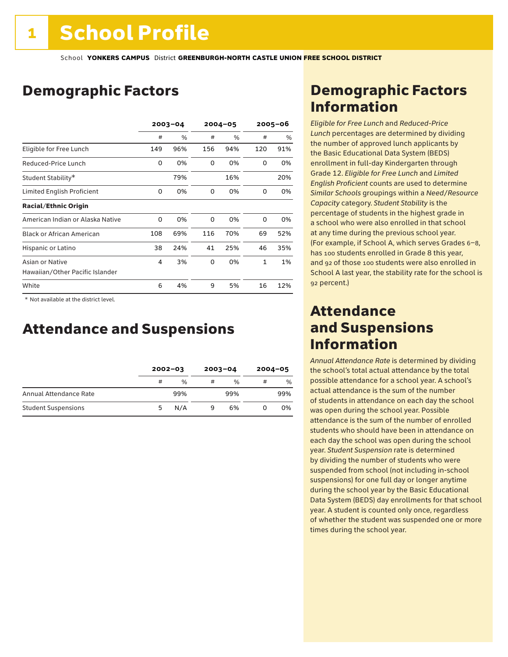## Demographic Factors

|                                  | $2003 - 04$ |      | $2004 - 05$ |      | $2005 - 06$  |      |
|----------------------------------|-------------|------|-------------|------|--------------|------|
|                                  | #           | $\%$ | #           | $\%$ | #            | $\%$ |
| Eligible for Free Lunch          | 149         | 96%  | 156         | 94%  | 120          | 91%  |
| Reduced-Price Lunch              | 0           | 0%   | 0           | 0%   | 0            | 0%   |
| Student Stability*               |             | 79%  |             | 16%  |              | 20%  |
| Limited English Proficient       | 0           | 0%   | 0           | 0%   | 0            | 0%   |
| <b>Racial/Ethnic Origin</b>      |             |      |             |      |              |      |
| American Indian or Alaska Native | 0           | 0%   | 0           | 0%   | 0            | 0%   |
| <b>Black or African American</b> | 108         | 69%  | 116         | 70%  | 69           | 52%  |
| Hispanic or Latino               | 38          | 24%  | 41          | 25%  | 46           | 35%  |
| Asian or Native                  | 4           | 3%   | 0           | 0%   | $\mathbf{1}$ | 1%   |
| Hawaiian/Other Pacific Islander  |             |      |             |      |              |      |
| White                            | 6           | 4%   | 9           | 5%   | 16           | 12%  |

 \* Not available at the district level.

### Attendance and Suspensions

|                            |   | $2002 - 03$   |   | $2003 - 04$ |   | $2004 - 05$ |  |
|----------------------------|---|---------------|---|-------------|---|-------------|--|
|                            | # | $\frac{0}{0}$ | # | $\%$        | # | %           |  |
| Annual Attendance Rate     |   | 99%           |   | 99%         |   | 99%         |  |
| <b>Student Suspensions</b> | 5 | N/A           | 9 | 6%          |   | 0%          |  |

### Demographic Factors Information

*Eligible for Free Lunch* and *Reduced*-*Price Lunch* percentages are determined by dividing the number of approved lunch applicants by the Basic Educational Data System (BEDS) enrollment in full-day Kindergarten through Grade 12. *Eligible for Free Lunch* and *Limited English Proficient* counts are used to determine *Similar Schools* groupings within a *Need*/*Resource Capacity* category. *Student Stability* is the percentage of students in the highest grade in a school who were also enrolled in that school at any time during the previous school year. (For example, if School A, which serves Grades 6–8, has 100 students enrolled in Grade 8 this year, and 92 of those 100 students were also enrolled in School A last year, the stability rate for the school is 92 percent.)

### Attendance and Suspensions Information

*Annual Attendance Rate* is determined by dividing the school's total actual attendance by the total possible attendance for a school year. A school's actual attendance is the sum of the number of students in attendance on each day the school was open during the school year. Possible attendance is the sum of the number of enrolled students who should have been in attendance on each day the school was open during the school year. *Student Suspension* rate is determined by dividing the number of students who were suspended from school (not including in-school suspensions) for one full day or longer anytime during the school year by the Basic Educational Data System (BEDS) day enrollments for that school year. A student is counted only once, regardless of whether the student was suspended one or more times during the school year.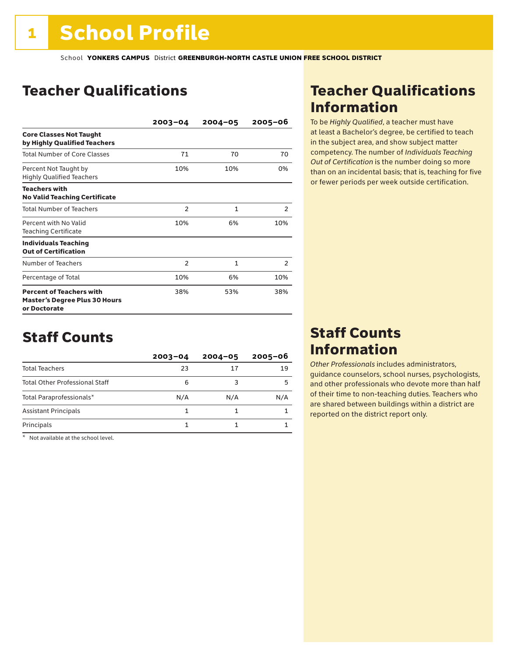### Teacher Qualifications

|                                                                                         | $2003 - 04$    | $2004 - 05$ | 2005-06        |
|-----------------------------------------------------------------------------------------|----------------|-------------|----------------|
| <b>Core Classes Not Taught</b><br>by Highly Qualified Teachers                          |                |             |                |
| Total Number of Core Classes                                                            | 71             | 70          | 70             |
| Percent Not Taught by<br><b>Highly Qualified Teachers</b>                               | 10%            | 10%         | 0%             |
| <b>Teachers with</b><br><b>No Valid Teaching Certificate</b>                            |                |             |                |
| <b>Total Number of Teachers</b>                                                         | $\overline{2}$ | 1           | $\overline{2}$ |
| Percent with No Valid<br><b>Teaching Certificate</b>                                    | 10%            | 6%          | 10%            |
| <b>Individuals Teaching</b><br><b>Out of Certification</b>                              |                |             |                |
| Number of Teachers                                                                      | $\overline{2}$ | 1           | $\overline{2}$ |
| Percentage of Total                                                                     | 10%            | 6%          | 10%            |
| <b>Percent of Teachers with</b><br><b>Master's Degree Plus 30 Hours</b><br>or Doctorate | 38%            | 53%         | 38%            |

### Staff Counts

|                                       | $2003 - 04$ | $2004 - 05$ | $2005 - 06$ |
|---------------------------------------|-------------|-------------|-------------|
| <b>Total Teachers</b>                 | 23          | 17          | 19          |
| <b>Total Other Professional Staff</b> | 6           |             | 5           |
| Total Paraprofessionals*              | N/A         | N/A         | N/A         |
| <b>Assistant Principals</b>           |             |             |             |
| Principals                            |             |             |             |

\* Not available at the school level.

### Teacher Qualifications Information

To be *Highly Qualified*, a teacher must have at least a Bachelor's degree, be certified to teach in the subject area, and show subject matter competency. The number of *Individuals Teaching Out of Certification* is the number doing so more than on an incidental basis; that is, teaching for five or fewer periods per week outside certification.

### Staff Counts Information

*Other Professionals* includes administrators, guidance counselors, school nurses, psychologists, and other professionals who devote more than half of their time to non-teaching duties. Teachers who are shared between buildings within a district are reported on the district report only.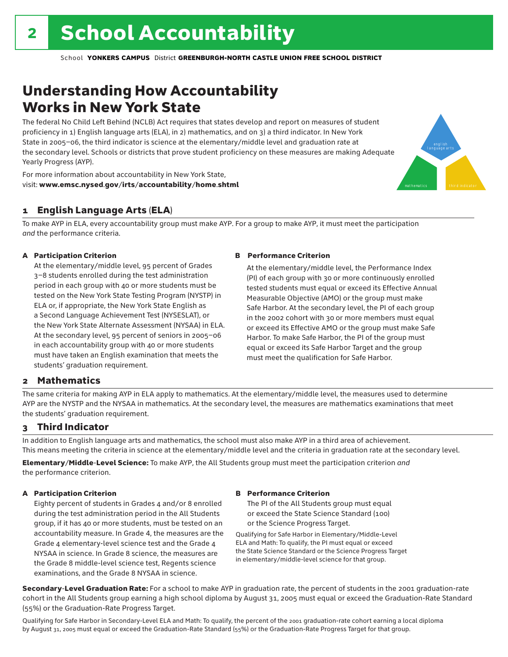## Understanding How Accountability Works in New York State

The federal No Child Left Behind (NCLB) Act requires that states develop and report on measures of student proficiency in 1) English language arts (ELA), in 2) mathematics, and on 3) a third indicator. In New York State in 2005–06, the third indicator is science at the elementary/middle level and graduation rate at the secondary level. Schools or districts that prove student proficiency on these measures are making Adequate Yearly Progress (AYP).



For more information about accountability in New York State, visit: www.emsc.nysed.gov/irts/accountability/home.shtml

#### 1 English Language Arts (ELA)

To make AYP in ELA, every accountability group must make AYP. For a group to make AYP, it must meet the participation *and* the performance criteria.

#### A Participation Criterion

At the elementary/middle level, 95 percent of Grades 3–8 students enrolled during the test administration period in each group with 40 or more students must be tested on the New York State Testing Program (NYSTP) in ELA or, if appropriate, the New York State English as a Second Language Achievement Test (NYSESLAT), or the New York State Alternate Assessment (NYSAA) in ELA. At the secondary level, 95 percent of seniors in 2005–06 in each accountability group with 40 or more students must have taken an English examination that meets the students' graduation requirement.

#### B Performance Criterion

At the elementary/middle level, the Performance Index (PI) of each group with 30 or more continuously enrolled tested students must equal or exceed its Effective Annual Measurable Objective (AMO) or the group must make Safe Harbor. At the secondary level, the PI of each group in the 2002 cohort with 30 or more members must equal or exceed its Effective AMO or the group must make Safe Harbor. To make Safe Harbor, the PI of the group must equal or exceed its Safe Harbor Target and the group must meet the qualification for Safe Harbor.

#### 2 Mathematics

The same criteria for making AYP in ELA apply to mathematics. At the elementary/middle level, the measures used to determine AYP are the NYSTP and the NYSAA in mathematics. At the secondary level, the measures are mathematics examinations that meet the students' graduation requirement.

#### 3 Third Indicator

In addition to English language arts and mathematics, the school must also make AYP in a third area of achievement. This means meeting the criteria in science at the elementary/middle level and the criteria in graduation rate at the secondary level.

Elementary/Middle-Level Science: To make AYP, the All Students group must meet the participation criterion *and* the performance criterion.

#### A Participation Criterion

Eighty percent of students in Grades 4 and/or 8 enrolled during the test administration period in the All Students group, if it has 40 or more students, must be tested on an accountability measure. In Grade 4, the measures are the Grade 4 elementary-level science test and the Grade 4 NYSAA in science. In Grade 8 science, the measures are the Grade 8 middle-level science test, Regents science examinations, and the Grade 8 NYSAA in science.

#### B Performance Criterion

The PI of the All Students group must equal or exceed the State Science Standard (100) or the Science Progress Target.

Qualifying for Safe Harbor in Elementary/Middle-Level ELA and Math: To qualify, the PI must equal or exceed the State Science Standard or the Science Progress Target in elementary/middle-level science for that group.

Secondary-Level Graduation Rate: For a school to make AYP in graduation rate, the percent of students in the 2001 graduation-rate cohort in the All Students group earning a high school diploma by August 31, 2005 must equal or exceed the Graduation-Rate Standard (55%) or the Graduation-Rate Progress Target.

Qualifying for Safe Harbor in Secondary-Level ELA and Math: To qualify, the percent of the 2001 graduation-rate cohort earning a local diploma by August 31, 2005 must equal or exceed the Graduation-Rate Standard (55%) or the Graduation-Rate Progress Target for that group.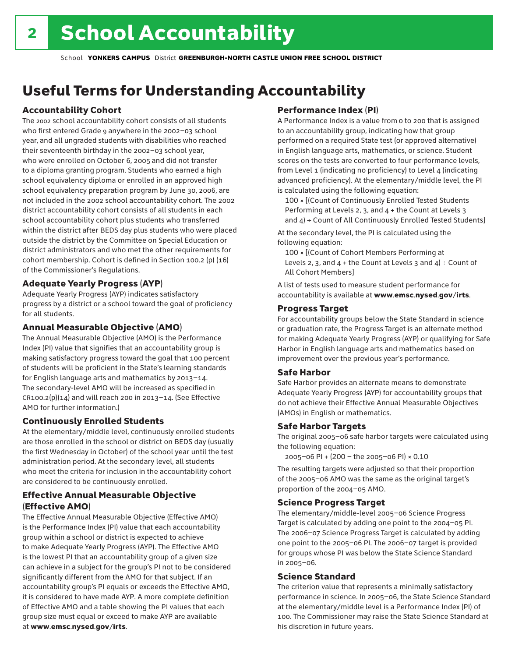## Useful Terms for Understanding Accountability

#### Accountability Cohort

The 2002 school accountability cohort consists of all students who first entered Grade 9 anywhere in the 2002–03 school year, and all ungraded students with disabilities who reached their seventeenth birthday in the 2002–03 school year, who were enrolled on October 6, 2005 and did not transfer to a diploma granting program. Students who earned a high school equivalency diploma or enrolled in an approved high school equivalency preparation program by June 30, 2006, are not included in the 2002 school accountability cohort. The 2002 district accountability cohort consists of all students in each school accountability cohort plus students who transferred within the district after BEDS day plus students who were placed outside the district by the Committee on Special Education or district administrators and who met the other requirements for cohort membership. Cohort is defined in Section 100.2 (p) (16) of the Commissioner's Regulations.

#### Adequate Yearly Progress (AYP)

Adequate Yearly Progress (AYP) indicates satisfactory progress by a district or a school toward the goal of proficiency for all students.

#### Annual Measurable Objective (AMO)

The Annual Measurable Objective (AMO) is the Performance Index (PI) value that signifies that an accountability group is making satisfactory progress toward the goal that 100 percent of students will be proficient in the State's learning standards for English language arts and mathematics by 2013–14. The secondary-level AMO will be increased as specified in  $CR100.2(p)(14)$  and will reach 200 in 2013-14. (See Effective AMO for further information.)

#### Continuously Enrolled Students

At the elementary/middle level, continuously enrolled students are those enrolled in the school or district on BEDS day (usually the first Wednesday in October) of the school year until the test administration period. At the secondary level, all students who meet the criteria for inclusion in the accountability cohort are considered to be continuously enrolled.

#### Effective Annual Measurable Objective (Effective AMO)

The Effective Annual Measurable Objective (Effective AMO) is the Performance Index (PI) value that each accountability group within a school or district is expected to achieve to make Adequate Yearly Progress (AYP). The Effective AMO is the lowest PI that an accountability group of a given size can achieve in a subject for the group's PI not to be considered significantly different from the AMO for that subject. If an accountability group's PI equals or exceeds the Effective AMO, it is considered to have made AYP. A more complete definition of Effective AMO and a table showing the PI values that each group size must equal or exceed to make AYP are available at www.emsc.nysed.gov/irts.

#### Performance Index (PI)

A Performance Index is a value from 0 to 200 that is assigned to an accountability group, indicating how that group performed on a required State test (or approved alternative) in English language arts, mathematics, or science. Student scores on the tests are converted to four performance levels, from Level 1 (indicating no proficiency) to Level 4 (indicating advanced proficiency). At the elementary/middle level, the PI is calculated using the following equation:

100 × [(Count of Continuously Enrolled Tested Students Performing at Levels 2, 3, and 4 + the Count at Levels 3 and  $4$ ) ÷ Count of All Continuously Enrolled Tested Students]

At the secondary level, the PI is calculated using the following equation:

100 × [(Count of Cohort Members Performing at Levels 2, 3, and  $4 +$  the Count at Levels 3 and  $4$ ) ÷ Count of All Cohort Members]

A list of tests used to measure student performance for accountability is available at www.emsc.nysed.gov/irts.

#### Progress Target

For accountability groups below the State Standard in science or graduation rate, the Progress Target is an alternate method for making Adequate Yearly Progress (AYP) or qualifying for Safe Harbor in English language arts and mathematics based on improvement over the previous year's performance.

#### Safe Harbor

Safe Harbor provides an alternate means to demonstrate Adequate Yearly Progress (AYP) for accountability groups that do not achieve their Effective Annual Measurable Objectives (AMOs) in English or mathematics.

#### Safe Harbor Targets

The original 2005–06 safe harbor targets were calculated using the following equation:

2005–06 PI + (200 – the 2005–06 PI) × 0.10

The resulting targets were adjusted so that their proportion of the 2005–06 AMO was the same as the original target's proportion of the 2004–05 AMO.

#### Science Progress Target

The elementary/middle-level 2005–06 Science Progress Target is calculated by adding one point to the 2004–05 PI. The 2006–07 Science Progress Target is calculated by adding one point to the 2005–06 PI. The 2006–07 target is provided for groups whose PI was below the State Science Standard in 2005–06.

#### Science Standard

The criterion value that represents a minimally satisfactory performance in science. In 2005–06, the State Science Standard at the elementary/middle level is a Performance Index (PI) of 100. The Commissioner may raise the State Science Standard at his discretion in future years.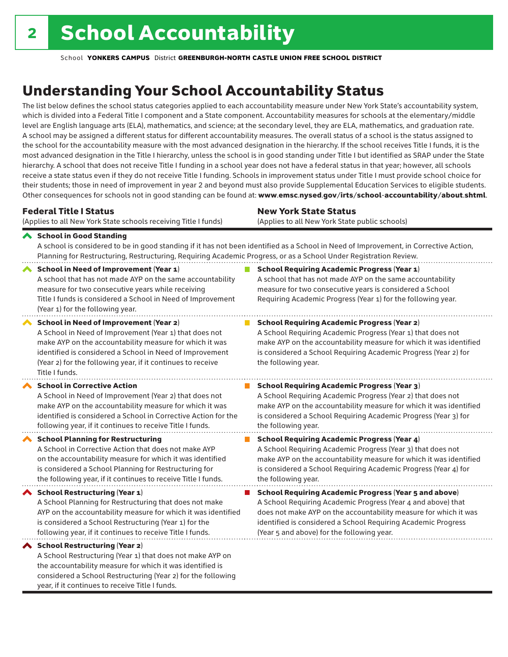considered a School Restructuring (Year 2) for the following

year, if it continues to receive Title I funds.

School **YONKERS CAMPUS** District **GREENBURGH-NORTH CASTLE UNION FREE SCHOOL DISTRICT**

## Understanding Your School Accountability Status

The list below defines the school status categories applied to each accountability measure under New York State's accountability system, which is divided into a Federal Title I component and a State component. Accountability measures for schools at the elementary/middle level are English language arts (ELA), mathematics, and science; at the secondary level, they are ELA, mathematics, and graduation rate. A school may be assigned a different status for different accountability measures. The overall status of a school is the status assigned to the school for the accountability measure with the most advanced designation in the hierarchy. If the school receives Title I funds, it is the most advanced designation in the Title I hierarchy, unless the school is in good standing under Title I but identified as SRAP under the State hierarchy. A school that does not receive Title I funding in a school year does not have a federal status in that year; however, all schools receive a state status even if they do not receive Title I funding. Schools in improvement status under Title I must provide school choice for their students; those in need of improvement in year 2 and beyond must also provide Supplemental Education Services to eligible students. Other consequences for schools not in good standing can be found at: www.emsc.nysed.gov/irts/school-accountability/about.shtml.

| <b>Federal Title I Status</b>                                                                                                                                                                                                                                                                                   | <b>New York State Status</b>                                                                                                                                                                                                                                                      |  |  |  |
|-----------------------------------------------------------------------------------------------------------------------------------------------------------------------------------------------------------------------------------------------------------------------------------------------------------------|-----------------------------------------------------------------------------------------------------------------------------------------------------------------------------------------------------------------------------------------------------------------------------------|--|--|--|
| (Applies to all New York State schools receiving Title I funds)                                                                                                                                                                                                                                                 | (Applies to all New York State public schools)                                                                                                                                                                                                                                    |  |  |  |
| School in Good Standing<br>Planning for Restructuring, Restructuring, Requiring Academic Progress, or as a School Under Registration Review.                                                                                                                                                                    | A school is considered to be in good standing if it has not been identified as a School in Need of Improvement, in Corrective Action,                                                                                                                                             |  |  |  |
| <b>School in Need of Improvement (Year 1)</b><br>A school that has not made AYP on the same accountability<br>measure for two consecutive years while receiving<br>Title I funds is considered a School in Need of Improvement<br>(Year 1) for the following year.                                              | <b>School Requiring Academic Progress (Year 1)</b><br>A school that has not made AYP on the same accountability<br>measure for two consecutive years is considered a School<br>Requiring Academic Progress (Year 1) for the following year.                                       |  |  |  |
| <b>School in Need of Improvement (Year 2)</b><br>A School in Need of Improvement (Year 1) that does not<br>make AYP on the accountability measure for which it was<br>identified is considered a School in Need of Improvement<br>(Year 2) for the following year, if it continues to receive<br>Title I funds. | <b>School Requiring Academic Progress (Year 2)</b><br>A School Requiring Academic Progress (Year 1) that does not<br>make AYP on the accountability measure for which it was identified<br>is considered a School Requiring Academic Progress (Year 2) for<br>the following year. |  |  |  |
| <b>School in Corrective Action</b>                                                                                                                                                                                                                                                                              | <b>School Requiring Academic Progress (Year 3)</b>                                                                                                                                                                                                                                |  |  |  |
| A School in Need of Improvement (Year 2) that does not                                                                                                                                                                                                                                                          | A School Requiring Academic Progress (Year 2) that does not                                                                                                                                                                                                                       |  |  |  |
| make AYP on the accountability measure for which it was                                                                                                                                                                                                                                                         | make AYP on the accountability measure for which it was identified                                                                                                                                                                                                                |  |  |  |
| identified is considered a School in Corrective Action for the                                                                                                                                                                                                                                                  | is considered a School Requiring Academic Progress (Year 3) for                                                                                                                                                                                                                   |  |  |  |
| following year, if it continues to receive Title I funds.                                                                                                                                                                                                                                                       | the following year.                                                                                                                                                                                                                                                               |  |  |  |
| <b>School Planning for Restructuring</b>                                                                                                                                                                                                                                                                        | <b>School Requiring Academic Progress (Year 4)</b>                                                                                                                                                                                                                                |  |  |  |
| A School in Corrective Action that does not make AYP                                                                                                                                                                                                                                                            | A School Requiring Academic Progress (Year 3) that does not                                                                                                                                                                                                                       |  |  |  |
| on the accountability measure for which it was identified                                                                                                                                                                                                                                                       | make AYP on the accountability measure for which it was identified                                                                                                                                                                                                                |  |  |  |
| is considered a School Planning for Restructuring for                                                                                                                                                                                                                                                           | is considered a School Requiring Academic Progress (Year 4) for                                                                                                                                                                                                                   |  |  |  |
| the following year, if it continues to receive Title I funds.                                                                                                                                                                                                                                                   | the following year.                                                                                                                                                                                                                                                               |  |  |  |
| <b>School Restructuring (Year 1)</b>                                                                                                                                                                                                                                                                            | <b>School Requiring Academic Progress (Year 5 and above)</b>                                                                                                                                                                                                                      |  |  |  |
| A School Planning for Restructuring that does not make                                                                                                                                                                                                                                                          | A School Requiring Academic Progress (Year 4 and above) that                                                                                                                                                                                                                      |  |  |  |
| AYP on the accountability measure for which it was identified                                                                                                                                                                                                                                                   | does not make AYP on the accountability measure for which it was                                                                                                                                                                                                                  |  |  |  |
| is considered a School Restructuring (Year 1) for the                                                                                                                                                                                                                                                           | identified is considered a School Requiring Academic Progress                                                                                                                                                                                                                     |  |  |  |
| following year, if it continues to receive Title I funds.                                                                                                                                                                                                                                                       | (Year 5 and above) for the following year.                                                                                                                                                                                                                                        |  |  |  |
| ◆ School Restructuring (Year 2)<br>A School Restructuring (Year 1) that does not make AYP on<br>the accountability measure for which it was identified is                                                                                                                                                       |                                                                                                                                                                                                                                                                                   |  |  |  |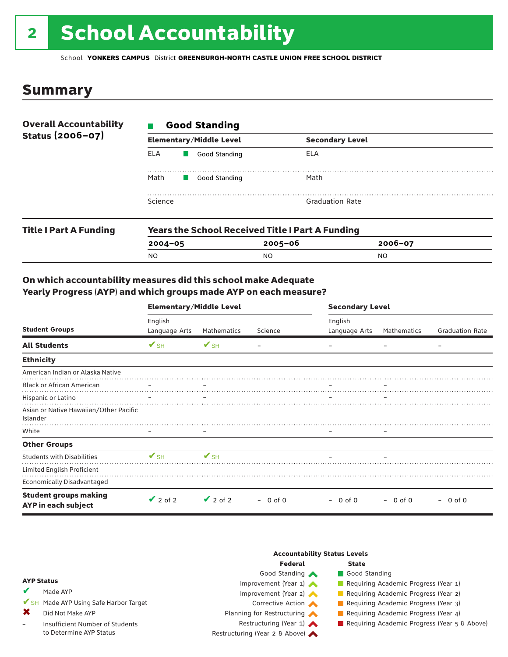# 2 School Accountability

School **YONKERS CAMPUS** District **GREENBURGH-NORTH CASTLE UNION FREE SCHOOL DISTRICT**

### Summary

| <b>Overall Accountability</b><br>Status (2006-07) | <b>Good Standing</b> |                                |                        |  |  |  |
|---------------------------------------------------|----------------------|--------------------------------|------------------------|--|--|--|
|                                                   |                      | <b>Elementary/Middle Level</b> | <b>Secondary Level</b> |  |  |  |
|                                                   | ELA                  | Good Standing                  | ELA                    |  |  |  |
|                                                   | Math                 | Good Standing                  | Math                   |  |  |  |
|                                                   | Science              |                                | <b>Graduation Rate</b> |  |  |  |
|                                                   |                      |                                |                        |  |  |  |

| <b>Title I Part A Funding</b> | <b>Years the School Received Title I Part A Funding</b> |             |             |  |  |  |
|-------------------------------|---------------------------------------------------------|-------------|-------------|--|--|--|
|                               | $2004 - 05$                                             | $2005 - 06$ | $2006 - 07$ |  |  |  |
|                               | NO                                                      | NO          | NO.         |  |  |  |

#### On which accountability measures did this school make Adequate Yearly Progress (AYP) and which groups made AYP on each measure?

|                                                     | <b>Elementary/Middle Level</b> |                          |           |                              | <b>Secondary Level</b> |                        |  |  |
|-----------------------------------------------------|--------------------------------|--------------------------|-----------|------------------------------|------------------------|------------------------|--|--|
| <b>Student Groups</b>                               | English<br>Language Arts       | Mathematics              | Science   | English<br>Language Arts     | Mathematics            | <b>Graduation Rate</b> |  |  |
| <b>All Students</b>                                 | $V$ SH                         | $\mathbf{V}$ SH          |           |                              |                        |                        |  |  |
| <b>Ethnicity</b>                                    |                                |                          |           |                              |                        |                        |  |  |
| American Indian or Alaska Native                    |                                |                          |           |                              |                        |                        |  |  |
| <b>Black or African American</b>                    |                                |                          |           |                              |                        |                        |  |  |
| Hispanic or Latino                                  |                                |                          |           |                              |                        |                        |  |  |
| Asian or Native Hawaiian/Other Pacific<br>Islander  |                                |                          |           |                              |                        |                        |  |  |
| White                                               |                                | $\overline{\phantom{0}}$ |           | $\qquad \qquad \blacksquare$ |                        |                        |  |  |
| <b>Other Groups</b>                                 |                                |                          |           |                              |                        |                        |  |  |
| <b>Students with Disabilities</b>                   | $\mathbf{V}_{\text{SH}}$       | $V_{\text{SH}}$          |           |                              |                        |                        |  |  |
| Limited English Proficient                          |                                |                          |           |                              |                        |                        |  |  |
| <b>Economically Disadvantaged</b>                   |                                |                          |           |                              |                        |                        |  |  |
| <b>Student groups making</b><br>AYP in each subject | $\vee$ 2 of 2                  | $\vee$ 2 of 2            | $-0$ of 0 | $-0$ of 0                    | $-0$ of 0              | $-0$ of 0              |  |  |

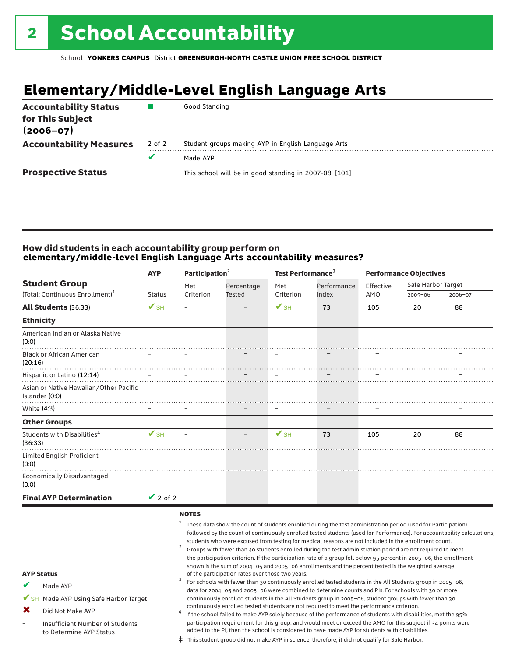## **Elementary/Middle-Level English Language Arts**

| <b>Accountability Status</b><br>for This Subject<br>$(2006 - 07)$ |        | Good Standing                                          |
|-------------------------------------------------------------------|--------|--------------------------------------------------------|
| <b>Accountability Measures</b>                                    | 2 of 2 | Student groups making AYP in English Language Arts     |
|                                                                   | v      | Made AYP                                               |
| <b>Prospective Status</b>                                         |        | This school will be in good standing in 2007-08. [101] |

#### How did students in each accountability group perform on **elementary/middle-level English Language Arts accountability measures?**

|                                                          | Participation <sup>2</sup><br><b>AYP</b> |              | Test Performance <sup>3</sup> |                          |             |           | <b>Performance Objectives</b> |         |
|----------------------------------------------------------|------------------------------------------|--------------|-------------------------------|--------------------------|-------------|-----------|-------------------------------|---------|
| <b>Student Group</b>                                     |                                          | Met          | Percentage                    | Met                      | Performance | Effective | Safe Harbor Target            |         |
| (Total: Continuous Enrollment) <sup>1</sup>              | <b>Status</b>                            | Criterion    | <b>Tested</b>                 | Criterion                | Index       | AMO       | 2005-06                       | 2006-07 |
| All Students (36:33)                                     | $\mathbf{V}_{\text{SH}}$                 | $\equiv$     | $\qquad \qquad$               | $\mathbf{V}_{\text{SH}}$ | 73          | 105       | 20                            | 88      |
| <b>Ethnicity</b>                                         |                                          |              |                               |                          |             |           |                               |         |
| American Indian or Alaska Native<br>(0:0)                |                                          |              |                               |                          |             |           |                               |         |
| <b>Black or African American</b><br>(20:16)              |                                          |              |                               |                          |             |           |                               |         |
| Hispanic or Latino (12:14)                               |                                          |              |                               |                          |             |           |                               |         |
| Asian or Native Hawaiian/Other Pacific<br>Islander (0:0) |                                          |              |                               |                          |             |           |                               |         |
| White (4:3)                                              |                                          |              |                               |                          |             |           |                               |         |
| <b>Other Groups</b>                                      |                                          |              |                               |                          |             |           |                               |         |
| Students with Disabilities <sup>4</sup><br>(36:33)       | $\mathbf{V}_{\text{SH}}$                 |              |                               | $\mathbf{V}_{\text{SH}}$ | 73          | 105       | 20                            | 88      |
| Limited English Proficient<br>(0:0)                      |                                          |              |                               |                          |             |           |                               |         |
| Economically Disadvantaged<br>(0:0)                      |                                          |              |                               |                          |             |           |                               |         |
| <b>Final AYP Determination</b>                           | $\vee$ 2 of 2                            |              |                               |                          |             |           |                               |         |
|                                                          |                                          | <b>NOTES</b> |                               |                          |             |           |                               |         |

|                   |                                                            | These data show the count of students enrolled during the test administration period (used for Participation)<br>followed by the count of continuously enrolled tested students (used for Performance). For accountability calculations,<br>students who were excused from testing for medical reasons are not included in the enrollment count.<br>Groups with fewer than 40 students enrolled during the test administration period are not required to meet<br>the participation criterion. If the participation rate of a group fell below 95 percent in 2005-06, the enrollment |  |  |  |  |
|-------------------|------------------------------------------------------------|--------------------------------------------------------------------------------------------------------------------------------------------------------------------------------------------------------------------------------------------------------------------------------------------------------------------------------------------------------------------------------------------------------------------------------------------------------------------------------------------------------------------------------------------------------------------------------------|--|--|--|--|
| <b>AYP Status</b> |                                                            | shown is the sum of 2004-05 and 2005-06 enrollments and the percent tested is the weighted average<br>of the participation rates over those two years.                                                                                                                                                                                                                                                                                                                                                                                                                               |  |  |  |  |
|                   | Made AYP                                                   | For schools with fewer than 30 continuously enrolled tested students in the All Students group in 2005-06,<br>data for 2004-05 and 2005-06 were combined to determine counts and PIs. For schools with 30 or more                                                                                                                                                                                                                                                                                                                                                                    |  |  |  |  |
|                   | SH Made AYP Using Safe Harbor Target                       | continuously enrolled students in the All Students group in 2005-06, student groups with fewer than 30                                                                                                                                                                                                                                                                                                                                                                                                                                                                               |  |  |  |  |
|                   | Did Not Make AYP                                           | continuously enrolled tested students are not required to meet the performance criterion.<br>If the school failed to make AYP solely because of the performance of students with disabilities, met the 95%                                                                                                                                                                                                                                                                                                                                                                           |  |  |  |  |
|                   | Insufficient Number of Students<br>to Determine AYP Status | participation requirement for this group, and would meet or exceed the AMO for this subject if 34 points were<br>added to the PI, then the school is considered to have made AYP for students with disabilities.                                                                                                                                                                                                                                                                                                                                                                     |  |  |  |  |
|                   |                                                            | where the contract the contract of the contract of the contract of the contract of the contract of the contract of the contract of the contract of the contract of the contract of the contract of the contract of the contrac                                                                                                                                                                                                                                                                                                                                                       |  |  |  |  |

‡ This student group did not make AYP in science; therefore, it did not qualify for Safe Harbor.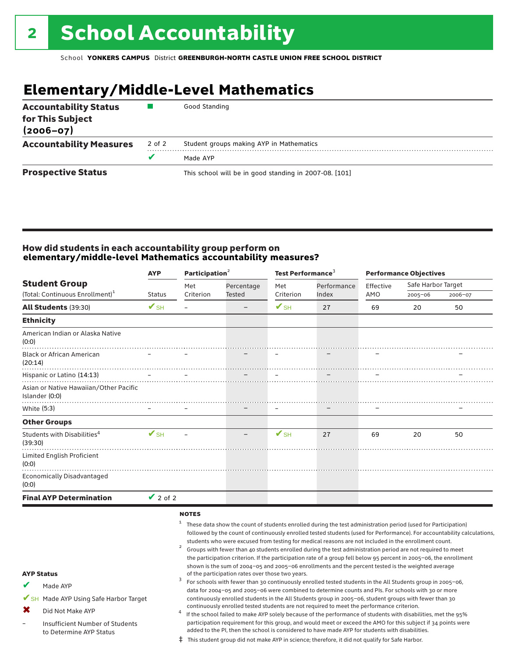## **Elementary/Middle-Level Mathematics**

| <b>Accountability Status</b><br>for This Subject<br>$(2006 - 07)$ |        | Good Standing                                          |  |
|-------------------------------------------------------------------|--------|--------------------------------------------------------|--|
| <b>Accountability Measures</b>                                    | 2 of 2 | Student groups making AYP in Mathematics               |  |
|                                                                   |        | Made AYP                                               |  |
| <b>Prospective Status</b>                                         |        | This school will be in good standing in 2007-08. [101] |  |

#### How did students in each accountability group perform on **elementary/middle-level Mathematics accountability measures?**

|                                                                     | <b>AYP</b>               | Participation <sup>2</sup> |                             | Test Performance <sup>3</sup> |                                                                                                                            | <b>Performance Objectives</b> |                                   |         |
|---------------------------------------------------------------------|--------------------------|----------------------------|-----------------------------|-------------------------------|----------------------------------------------------------------------------------------------------------------------------|-------------------------------|-----------------------------------|---------|
| <b>Student Group</b><br>(Total: Continuous Enrollment) <sup>1</sup> | <b>Status</b>            | Met<br>Criterion           | Percentage<br><b>Tested</b> | Met<br>Criterion              | Performance<br>Index                                                                                                       | Effective<br>AMO              | Safe Harbor Target<br>$2005 - 06$ | 2006-07 |
| <b>All Students (39:30)</b>                                         | $\mathbf{V}$ SH          | —                          |                             | $\mathbf{V}_{\text{SH}}$      | 27                                                                                                                         | 69                            | 20                                | 50      |
| <b>Ethnicity</b>                                                    |                          |                            |                             |                               |                                                                                                                            |                               |                                   |         |
| American Indian or Alaska Native<br>(0:0)                           |                          |                            |                             |                               |                                                                                                                            |                               |                                   |         |
| <b>Black or African American</b><br>(20:14)                         |                          |                            |                             |                               |                                                                                                                            |                               |                                   |         |
| Hispanic or Latino (14:13)                                          |                          |                            |                             |                               |                                                                                                                            |                               |                                   |         |
| Asian or Native Hawaiian/Other Pacific<br>Islander (0:0)            |                          |                            |                             |                               |                                                                                                                            |                               |                                   |         |
| White (5:3)                                                         |                          |                            |                             | $\qquad \qquad \blacksquare$  |                                                                                                                            |                               |                                   |         |
| <b>Other Groups</b>                                                 |                          |                            |                             |                               |                                                                                                                            |                               |                                   |         |
| Students with Disabilities <sup>4</sup><br>(39:30)                  | $\mathbf{V}_{\text{SH}}$ |                            |                             | $\mathbf{V}_{\text{SH}}$      | 27                                                                                                                         | 69                            | 20                                | 50      |
| Limited English Proficient<br>(0:0)                                 |                          |                            |                             |                               |                                                                                                                            |                               |                                   |         |
| <b>Economically Disadvantaged</b><br>(0:0)                          |                          |                            |                             |                               |                                                                                                                            |                               |                                   |         |
| <b>Final AYP Determination</b>                                      | $\vee$ 2 of 2            |                            |                             |                               |                                                                                                                            |                               |                                   |         |
|                                                                     |                          | <b>NOTES</b>               |                             |                               | <sup>1</sup> These data show the count of students enrolled during the test administration period (used for Participation) |                               |                                   |         |

|                   |                                                            | followed by the count of continuously enrolled tested students (used for Performance). For accountability calculations,                                                                                          |  |  |  |  |
|-------------------|------------------------------------------------------------|------------------------------------------------------------------------------------------------------------------------------------------------------------------------------------------------------------------|--|--|--|--|
|                   |                                                            | students who were excused from testing for medical reasons are not included in the enrollment count.                                                                                                             |  |  |  |  |
|                   |                                                            | Groups with fewer than 40 students enrolled during the test administration period are not required to meet                                                                                                       |  |  |  |  |
|                   |                                                            | the participation criterion. If the participation rate of a group fell below 95 percent in 2005-06, the enrollment                                                                                               |  |  |  |  |
| <b>AYP Status</b> |                                                            | shown is the sum of 2004-05 and 2005-06 enrollments and the percent tested is the weighted average<br>of the participation rates over those two years.                                                           |  |  |  |  |
| V                 | Made AYP                                                   | For schools with fewer than 30 continuously enrolled tested students in the All Students group in 2005-06,                                                                                                       |  |  |  |  |
|                   |                                                            | data for 2004-05 and 2005-06 were combined to determine counts and PIs. For schools with 30 or more                                                                                                              |  |  |  |  |
|                   | SH Made AYP Using Safe Harbor Target                       | continuously enrolled students in the All Students group in 2005-06, student groups with fewer than 30                                                                                                           |  |  |  |  |
| X                 | Did Not Make AYP                                           | continuously enrolled tested students are not required to meet the performance criterion.                                                                                                                        |  |  |  |  |
|                   |                                                            | If the school failed to make AYP solely because of the performance of students with disabilities, met the 95%                                                                                                    |  |  |  |  |
| —                 | Insufficient Number of Students<br>to Determine AYP Status | participation requirement for this group, and would meet or exceed the AMO for this subject if 34 points were<br>added to the PI, then the school is considered to have made AYP for students with disabilities. |  |  |  |  |
|                   |                                                            | $\ddagger$ This student group did not make AYP in science; therefore, it did not qualify for Safe Harbor.                                                                                                        |  |  |  |  |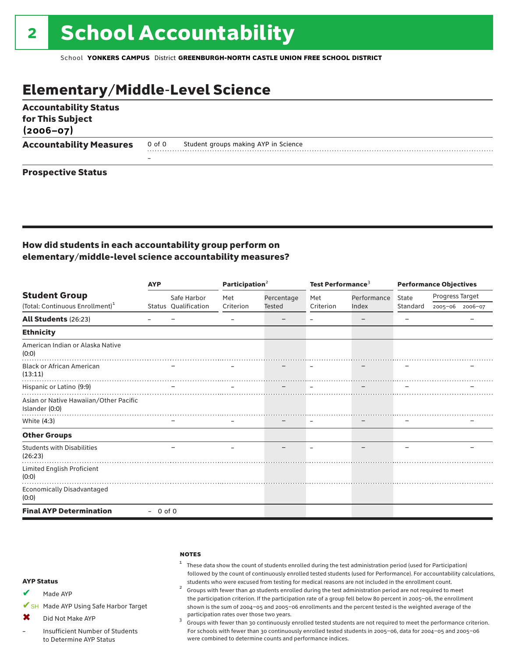## Elementary/Middle-Level Science

| <b>Accountability Status</b><br>for This Subject<br>$(2006 - 07)$ |        |                                      |  |
|-------------------------------------------------------------------|--------|--------------------------------------|--|
| <b>Accountability Measures</b>                                    | 0 of 0 | Student groups making AYP in Science |  |
|                                                                   | -      |                                      |  |
| <b>Prospective Status</b>                                         |        |                                      |  |

#### How did students in each accountability group perform on elementary/middle-level science accountability measures?

|                                                          | <b>AYP</b> |                      | Participation <sup>2</sup> |               | Test Performance <sup>3</sup> |             | <b>Performance Objectives</b> |                 |  |
|----------------------------------------------------------|------------|----------------------|----------------------------|---------------|-------------------------------|-------------|-------------------------------|-----------------|--|
| <b>Student Group</b>                                     |            | Safe Harbor          | Met                        | Percentage    | Met                           | Performance | State                         | Progress Target |  |
| (Total: Continuous Enrollment) <sup>1</sup>              |            | Status Qualification | Criterion                  | <b>Tested</b> | Criterion                     | Index       | Standard                      | 2005-06 2006-07 |  |
| All Students (26:23)                                     |            |                      |                            |               |                               |             |                               |                 |  |
| <b>Ethnicity</b>                                         |            |                      |                            |               |                               |             |                               |                 |  |
| American Indian or Alaska Native<br>(0:0)                |            |                      |                            |               |                               |             |                               |                 |  |
| <b>Black or African American</b><br>(13:11)              |            |                      |                            |               |                               |             |                               |                 |  |
| Hispanic or Latino (9:9)                                 |            |                      |                            |               |                               |             |                               |                 |  |
| Asian or Native Hawaiian/Other Pacific<br>Islander (0:0) |            |                      |                            |               |                               |             |                               |                 |  |
| White (4:3)                                              |            |                      |                            |               |                               |             |                               |                 |  |
| <b>Other Groups</b>                                      |            |                      |                            |               |                               |             |                               |                 |  |
| <b>Students with Disabilities</b><br>(26:23)             |            |                      |                            |               |                               |             |                               |                 |  |
| Limited English Proficient<br>(0:0)                      |            |                      |                            |               |                               |             |                               |                 |  |
| Economically Disadvantaged<br>(0:0)                      |            |                      |                            |               |                               |             |                               |                 |  |
| <b>Final AYP Determination</b>                           | $-0$ of 0  |                      |                            |               |                               |             |                               |                 |  |

#### **NOTES**

#### <sup>1</sup> These data show the count of students enrolled during the test administration period (used for Participation) followed by the count of continuously enrolled tested students (used for Performance). For accountability calculations,

- students who were excused from testing for medical reasons are not included in the enrollment count. <sup>2</sup> Groups with fewer than <sup>40</sup> students enrolled during the test administration period are not required to meet the participation criterion. If the participation rate of a group fell below 80 percent in 2005–06, the enrollment shown is the sum of 2004–05 and 2005–06 enrollments and the percent tested is the weighted average of the
- participation rates over those two years.<br><sup>3</sup> Groups with fewer than 30 continuously enrolled tested students are not required to meet the performance criterion. For schools with fewer than 30 continuously enrolled tested students in 2005–06, data for 2004–05 and 2005–06 were combined to determine counts and performance indices.

#### AYP Status

- Made AYP ✔
- ✔SH Made AYP Using Safe Harbor Target
- Did Not Make AYP  $\bm{x}$
- Insufficient Number of Students to Determine AYP Status –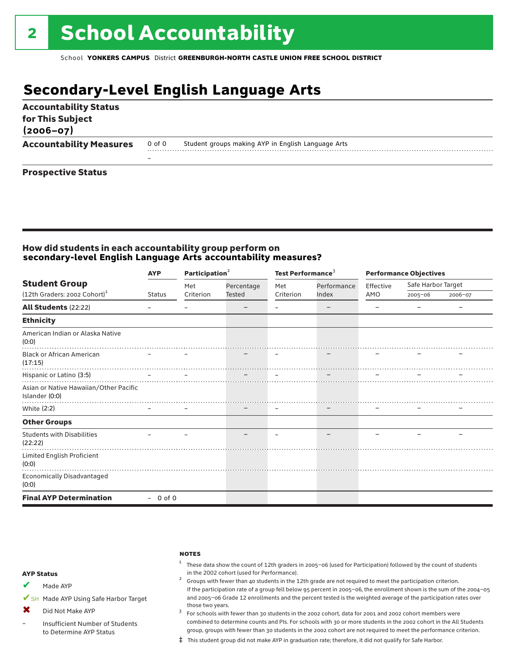## **Secondary-Level English Language Arts**

| <b>Accountability Status</b><br>for This Subject<br>$(2006 - 07)$ |        |                                                    |
|-------------------------------------------------------------------|--------|----------------------------------------------------|
| <b>Accountability Measures</b>                                    | 0 of 0 | Student groups making AYP in English Language Arts |
|                                                                   | -      |                                                    |
| <b>Prospective Status</b>                                         |        |                                                    |

#### How did students in each accountability group perform on **secondary-level English Language Arts accountability measures?**

|                                                          | <b>AYP</b>    | Participation $2$ |            | Test Performance <sup>3</sup> |             | <b>Performance Objectives</b> |                    |         |
|----------------------------------------------------------|---------------|-------------------|------------|-------------------------------|-------------|-------------------------------|--------------------|---------|
| <b>Student Group</b>                                     |               | Met               | Percentage | Met                           | Performance | Effective                     | Safe Harbor Target |         |
| (12th Graders: 2002 Cohort) <sup>1</sup>                 | <b>Status</b> | Criterion         | Tested     | Criterion                     | Index       | AMO                           | $2005 - 06$        | 2006-07 |
| <b>All Students (22:22)</b>                              |               |                   |            |                               |             |                               |                    |         |
| <b>Ethnicity</b>                                         |               |                   |            |                               |             |                               |                    |         |
| American Indian or Alaska Native<br>(0:0)                |               |                   |            |                               |             |                               |                    |         |
| <b>Black or African American</b><br>(17:15)              |               |                   |            |                               |             |                               |                    |         |
| Hispanic or Latino (3:5)                                 |               |                   |            |                               |             |                               |                    |         |
| Asian or Native Hawaiian/Other Pacific<br>Islander (0:0) |               |                   |            |                               |             |                               |                    |         |
| White (2:2)                                              |               |                   |            | $\qquad \qquad \blacksquare$  |             |                               |                    |         |
| <b>Other Groups</b>                                      |               |                   |            |                               |             |                               |                    |         |
| <b>Students with Disabilities</b><br>(22:22)             |               |                   |            |                               |             |                               |                    |         |
| Limited English Proficient<br>(0:0)                      |               |                   |            |                               |             |                               |                    |         |
| Economically Disadvantaged<br>(0:0)                      |               |                   |            |                               |             |                               |                    |         |
| <b>Final AYP Determination</b>                           | $-0$ of 0     |                   |            |                               |             |                               |                    |         |

#### **NOTES**

 $1$  These data show the count of 12th graders in 2005-06 (used for Participation) followed by the count of students in the 2002 cohort (used for Performance).<br><sup>2</sup> Groups with fewer than 40 students in the 12th grade are not required to meet the participation criterion.

#### AYP Status

Made AYP ✔

✔SH Made AYP Using Safe Harbor Target

Did Not Make AYP  $\mathbf x$ 

Insufficient Number of Students to Determine AYP Status –

those two years.  $3$  For schools with fewer than 30 students in the 2002 cohort, data for 2001 and 2002 cohort members were combined to determine counts and PIs. For schools with 30 or more students in the 2002 cohort in the All Students group, groups with fewer than 30 students in the 2002 cohort are not required to meet the performance criterion.

If the participation rate of a group fell below 95 percent in 2005–06, the enrollment shown is the sum of the 2004–05 and 2005–06 Grade 12 enrollments and the percent tested is the weighted average of the participation rates over

‡ This student group did not make AYP in graduation rate; therefore, it did not qualify for Safe Harbor.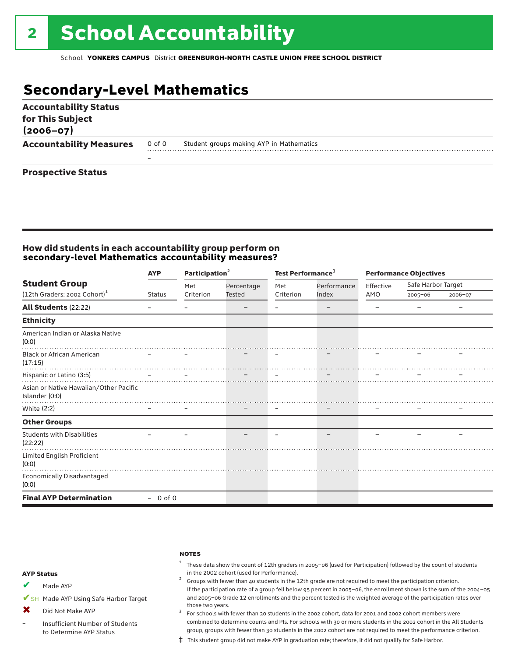## **Secondary-Level Mathematics**

| <b>Accountability Status</b><br>for This Subject<br>$(2006 - 07)$ |        |                                          |
|-------------------------------------------------------------------|--------|------------------------------------------|
| <b>Accountability Measures</b>                                    | 0 of 0 | Student groups making AYP in Mathematics |
|                                                                   |        |                                          |
| <b>Prospective Status</b>                                         |        |                                          |

#### How did students in each accountability group perform on **secondary-level Mathematics accountability measures?**

|                                                          | <b>AYP</b>    | Participation $2$ |            | Test Performance <sup>3</sup> |             | <b>Performance Objectives</b> |                    |         |
|----------------------------------------------------------|---------------|-------------------|------------|-------------------------------|-------------|-------------------------------|--------------------|---------|
| <b>Student Group</b>                                     |               | Met               | Percentage | Met                           | Performance | Effective                     | Safe Harbor Target |         |
| (12th Graders: 2002 Cohort) <sup>1</sup>                 | <b>Status</b> | Criterion         | Tested     | Criterion                     | Index       | AMO                           | $2005 - 06$        | 2006-07 |
| <b>All Students (22:22)</b>                              |               |                   |            |                               |             |                               |                    |         |
| <b>Ethnicity</b>                                         |               |                   |            |                               |             |                               |                    |         |
| American Indian or Alaska Native<br>(0:0)                |               |                   |            |                               |             |                               |                    |         |
| <b>Black or African American</b><br>(17:15)              |               |                   |            |                               |             |                               |                    |         |
| Hispanic or Latino (3:5)                                 |               |                   |            |                               |             |                               |                    |         |
| Asian or Native Hawaiian/Other Pacific<br>Islander (0:0) |               |                   |            |                               |             |                               |                    |         |
| White (2:2)                                              |               |                   |            | $\qquad \qquad \blacksquare$  |             |                               |                    |         |
| <b>Other Groups</b>                                      |               |                   |            |                               |             |                               |                    |         |
| <b>Students with Disabilities</b><br>(22:22)             |               |                   |            |                               |             |                               |                    |         |
| Limited English Proficient<br>(0:0)                      |               |                   |            |                               |             |                               |                    |         |
| Economically Disadvantaged<br>(0:0)                      |               |                   |            |                               |             |                               |                    |         |
| <b>Final AYP Determination</b>                           | $-0$ of 0     |                   |            |                               |             |                               |                    |         |

#### **NOTES**

 $1$  These data show the count of 12th graders in 2005-06 (used for Participation) followed by the count of students in the 2002 cohort (used for Performance).<br><sup>2</sup> Groups with fewer than 40 students in the 12th grade are not required to meet the participation criterion.

#### AYP Status

Made AYP ✔

✔SH Made AYP Using Safe Harbor Target

Did Not Make AYP ✖

Insufficient Number of Students to Determine AYP Status –

those two years.  $3$  For schools with fewer than 30 students in the 2002 cohort, data for 2001 and 2002 cohort members were combined to determine counts and PIs. For schools with 30 or more students in the 2002 cohort in the All Students group, groups with fewer than 30 students in the 2002 cohort are not required to meet the performance criterion.

If the participation rate of a group fell below 95 percent in 2005–06, the enrollment shown is the sum of the 2004–05 and 2005–06 Grade 12 enrollments and the percent tested is the weighted average of the participation rates over

‡ This student group did not make AYP in graduation rate; therefore, it did not qualify for Safe Harbor.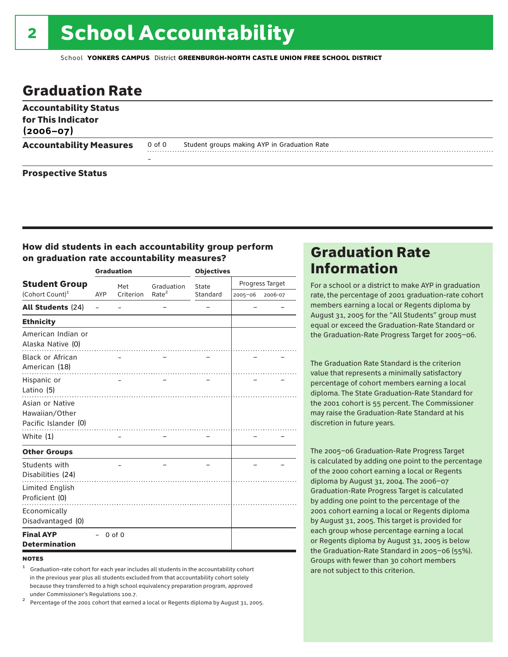# 2 School Accountability

School **YONKERS CAMPUS** District **GREENBURGH-NORTH CASTLE UNION FREE SCHOOL DISTRICT**

### Graduation Rate

| <b>Accountability Status</b><br>for This Indicator<br>$(2006 - 07)$ |        |                                              |
|---------------------------------------------------------------------|--------|----------------------------------------------|
| <b>Accountability Measures</b>                                      | 0 of 0 | Student groups making AYP in Graduation Rate |
|                                                                     |        |                                              |
| <b>Prospective Status</b>                                           |        |                                              |

#### How did students in each accountability group perform on graduation rate accountability measures?

|                                                           |            | <b>Graduation</b> |                   | <b>Objectives</b> |                 |         |  |
|-----------------------------------------------------------|------------|-------------------|-------------------|-------------------|-----------------|---------|--|
| <b>Student Group</b>                                      |            | Met               | Graduation        | State             | Progress Target |         |  |
| (Cohort Count) <sup>1</sup>                               | <b>AYP</b> | Criterion         | Rate <sup>2</sup> | Standard          | 2005-06         | 2006-07 |  |
| <b>All Students (24)</b>                                  |            |                   |                   |                   |                 |         |  |
| <b>Ethnicity</b>                                          |            |                   |                   |                   |                 |         |  |
| American Indian or<br>Alaska Native (0)                   |            |                   |                   |                   |                 |         |  |
| <b>Black or African</b><br>American (18)                  |            |                   |                   |                   |                 |         |  |
| Hispanic or<br>Latino (5)                                 |            |                   |                   |                   |                 |         |  |
| Asian or Native<br>Hawaiian/Other<br>Pacific Islander (0) |            |                   |                   |                   |                 |         |  |
| White (1)                                                 |            |                   |                   |                   |                 |         |  |
| <b>Other Groups</b>                                       |            |                   |                   |                   |                 |         |  |
| Students with<br>Disabilities (24)                        |            |                   |                   |                   |                 |         |  |
| Limited English<br>Proficient (0)                         |            |                   |                   |                   |                 |         |  |
| Economically<br>Disadvantaged (0)                         |            |                   |                   |                   |                 |         |  |
| <b>Final AYP</b><br><b>Determination</b>                  |            | $0$ of $0$        |                   |                   |                 |         |  |

#### **NOTES**

<sup>1</sup> Graduation-rate cohort for each year includes all students in the accountability cohort in the previous year plus all students excluded from that accountability cohort solely because they transferred to a high school equivalency preparation program, approved

under Commissioner's Regulations 100.7. <sup>2</sup> Percentage of the 2001 cohort that earned a local or Regents diploma by August 31, 2005.

### Graduation Rate Information

For a school or a district to make AYP in graduation rate, the percentage of 2001 graduation-rate cohort members earning a local or Regents diploma by August 31, 2005 for the "All Students" group must equal or exceed the Graduation-Rate Standard or the Graduation-Rate Progress Target for 2005–06.

The Graduation Rate Standard is the criterion value that represents a minimally satisfactory percentage of cohort members earning a local diploma. The State Graduation-Rate Standard for the 2001 cohort is 55 percent. The Commissioner may raise the Graduation-Rate Standard at his discretion in future years.

The 2005–06 Graduation-Rate Progress Target is calculated by adding one point to the percentage of the 2000 cohort earning a local or Regents diploma by August 31, 2004. The 2006–07 Graduation-Rate Progress Target is calculated by adding one point to the percentage of the 2001 cohort earning a local or Regents diploma by August 31, 2005. This target is provided for each group whose percentage earning a local or Regents diploma by August 31, 2005 is below the Graduation-Rate Standard in 2005–06 (55%). Groups with fewer than 30 cohort members are not subject to this criterion.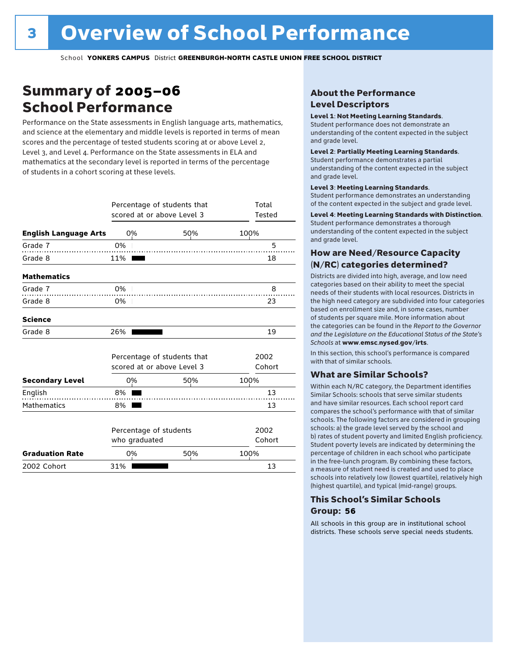### Summary of 2005–06 School Performance

Performance on the State assessments in English language arts, mathematics, and science at the elementary and middle levels is reported in terms of mean scores and the percentage of tested students scoring at or above Level 2, Level 3, and Level 4. Performance on the State assessments in ELA and mathematics at the secondary level is reported in terms of the percentage of students in a cohort scoring at these levels.

|                              |                                         | Percentage of students that<br>scored at or above Level 3 |                | Total<br>Tested |
|------------------------------|-----------------------------------------|-----------------------------------------------------------|----------------|-----------------|
| <b>English Language Arts</b> | 0%                                      | 50%                                                       | 100%           |                 |
| Grade 7                      | 0%                                      |                                                           |                | 5               |
| Grade 8                      | 11%                                     |                                                           |                | 18              |
| <b>Mathematics</b>           |                                         |                                                           |                |                 |
| Grade 7                      | $0\%$                                   |                                                           |                | 8               |
| Grade 8                      | $0\%$                                   |                                                           |                | 23              |
| <b>Science</b>               |                                         |                                                           |                |                 |
| Grade 8                      | 26%                                     |                                                           |                | 19              |
|                              |                                         | Percentage of students that<br>scored at or above Level 3 |                | 2002<br>Cohort  |
| <b>Secondary Level</b>       | 0%                                      | 50%                                                       | 100%           |                 |
| English                      | 8%                                      |                                                           |                | 13              |
| <b>Mathematics</b>           | 8%                                      |                                                           |                | 13              |
|                              | Percentage of students<br>who graduated |                                                           | 2002<br>Cohort |                 |
| <b>Graduation Rate</b>       | 0%                                      | 50%                                                       | 100%           |                 |
| 2002 Cohort                  | 31%                                     |                                                           |                | 13              |

#### About the Performance Level Descriptors

#### Level 1: Not Meeting Learning Standards.

Student performance does not demonstrate an understanding of the content expected in the subject and grade level.

#### Level 2: Partially Meeting Learning Standards.

Student performance demonstrates a partial understanding of the content expected in the subject and grade level.

#### Level 3: Meeting Learning Standards.

Student performance demonstrates an understanding of the content expected in the subject and grade level.

#### Level 4: Meeting Learning Standards with Distinction.

Student performance demonstrates a thorough understanding of the content expected in the subject and grade level.

#### How are Need/Resource Capacity (N/RC) categories determined?

Districts are divided into high, average, and low need categories based on their ability to meet the special needs of their students with local resources. Districts in the high need category are subdivided into four categories based on enrollment size and, in some cases, number of students per square mile. More information about the categories can be found in the *Report to the Governor and the Legislature on the Educational Status of the State's Schools* at www.emsc.nysed.gov/irts.

In this section, this school's performance is compared with that of similar schools.

#### What are Similar Schools?

Within each N/RC category, the Department identifies Similar Schools: schools that serve similar students and have similar resources. Each school report card compares the school's performance with that of similar schools. The following factors are considered in grouping schools: a) the grade level served by the school and b) rates of student poverty and limited English proficiency. Student poverty levels are indicated by determining the percentage of children in each school who participate in the free-lunch program. By combining these factors, a measure of student need is created and used to place schools into relatively low (lowest quartile), relatively high (highest quartile), and typical (mid-range) groups.

#### This School's Similar Schools Group: **56**

All schools in this group are in institutional school districts. These schools serve special needs students.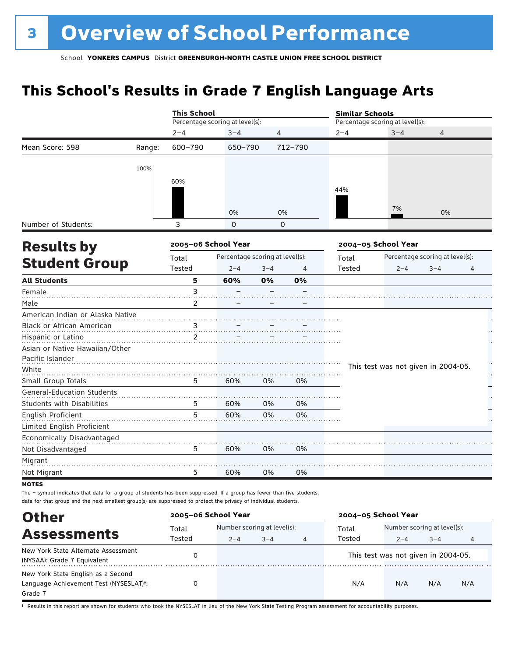## **This School's Results in Grade 7 English Language Arts**

| Percentage scoring at level(s):<br>$2 - 4$<br>600-790<br>Mean Score: 598<br>Range:<br>100%<br>60%<br>3<br>Number of Students:<br>2005-06 School Year<br><b>Results by</b><br>Total<br><b>Student Group</b><br>Tested<br><b>All Students</b><br>5<br>3<br>Female<br>Male<br>$\overline{2}$<br>American Indian or Alaska Native<br>Black or African American<br>$\overline{3}$<br>$\overline{2}$<br>Hispanic or Latino<br>Asian or Native Hawaiian/Other<br>Pacific Islander<br>White<br>Small Group Totals<br>5<br><b>General-Education Students</b><br>Students with Disabilities<br>5<br>English Proficient<br>5<br>Limited English Proficient<br>Economically Disadvantaged<br>5<br>Not Disadvantaged |                                 |          |                | <b>Similar Schools</b> |                                     |                                 |   |
|---------------------------------------------------------------------------------------------------------------------------------------------------------------------------------------------------------------------------------------------------------------------------------------------------------------------------------------------------------------------------------------------------------------------------------------------------------------------------------------------------------------------------------------------------------------------------------------------------------------------------------------------------------------------------------------------------------|---------------------------------|----------|----------------|------------------------|-------------------------------------|---------------------------------|---|
|                                                                                                                                                                                                                                                                                                                                                                                                                                                                                                                                                                                                                                                                                                         |                                 |          |                |                        | Percentage scoring at level(s):     |                                 |   |
|                                                                                                                                                                                                                                                                                                                                                                                                                                                                                                                                                                                                                                                                                                         | $3 - 4$                         | 4        |                | $2 - 4$                | $3 - 4$                             | 4                               |   |
|                                                                                                                                                                                                                                                                                                                                                                                                                                                                                                                                                                                                                                                                                                         | 650-790                         |          | 712-790        |                        |                                     |                                 |   |
|                                                                                                                                                                                                                                                                                                                                                                                                                                                                                                                                                                                                                                                                                                         |                                 |          |                |                        |                                     |                                 |   |
|                                                                                                                                                                                                                                                                                                                                                                                                                                                                                                                                                                                                                                                                                                         |                                 |          |                |                        |                                     |                                 |   |
|                                                                                                                                                                                                                                                                                                                                                                                                                                                                                                                                                                                                                                                                                                         |                                 |          |                | 44%                    |                                     |                                 |   |
|                                                                                                                                                                                                                                                                                                                                                                                                                                                                                                                                                                                                                                                                                                         |                                 |          |                |                        |                                     |                                 |   |
|                                                                                                                                                                                                                                                                                                                                                                                                                                                                                                                                                                                                                                                                                                         | 0%                              | 0%       |                |                        | 7%                                  | 0%                              |   |
|                                                                                                                                                                                                                                                                                                                                                                                                                                                                                                                                                                                                                                                                                                         | $\Omega$                        | $\Omega$ |                |                        |                                     |                                 |   |
|                                                                                                                                                                                                                                                                                                                                                                                                                                                                                                                                                                                                                                                                                                         |                                 |          |                |                        | 2004-05 School Year                 |                                 |   |
|                                                                                                                                                                                                                                                                                                                                                                                                                                                                                                                                                                                                                                                                                                         | Percentage scoring at level(s): |          |                | Total                  |                                     | Percentage scoring at level(s): |   |
|                                                                                                                                                                                                                                                                                                                                                                                                                                                                                                                                                                                                                                                                                                         | $2 - 4$                         | $3 - 4$  | $\overline{4}$ | Tested                 | $2 - 4$                             | $3 - 4$                         | 4 |
|                                                                                                                                                                                                                                                                                                                                                                                                                                                                                                                                                                                                                                                                                                         | 60%                             | 0%       | 0%             |                        |                                     |                                 |   |
|                                                                                                                                                                                                                                                                                                                                                                                                                                                                                                                                                                                                                                                                                                         |                                 |          |                |                        |                                     |                                 |   |
|                                                                                                                                                                                                                                                                                                                                                                                                                                                                                                                                                                                                                                                                                                         |                                 |          |                |                        |                                     |                                 |   |
|                                                                                                                                                                                                                                                                                                                                                                                                                                                                                                                                                                                                                                                                                                         |                                 |          |                |                        |                                     |                                 |   |
|                                                                                                                                                                                                                                                                                                                                                                                                                                                                                                                                                                                                                                                                                                         |                                 |          |                |                        |                                     |                                 |   |
|                                                                                                                                                                                                                                                                                                                                                                                                                                                                                                                                                                                                                                                                                                         |                                 |          |                |                        |                                     |                                 |   |
|                                                                                                                                                                                                                                                                                                                                                                                                                                                                                                                                                                                                                                                                                                         |                                 |          |                |                        |                                     |                                 |   |
|                                                                                                                                                                                                                                                                                                                                                                                                                                                                                                                                                                                                                                                                                                         |                                 |          |                |                        |                                     |                                 |   |
|                                                                                                                                                                                                                                                                                                                                                                                                                                                                                                                                                                                                                                                                                                         |                                 |          |                |                        | This test was not given in 2004-05. |                                 |   |
|                                                                                                                                                                                                                                                                                                                                                                                                                                                                                                                                                                                                                                                                                                         | 60%                             | 0%       | 0%             |                        |                                     |                                 |   |
|                                                                                                                                                                                                                                                                                                                                                                                                                                                                                                                                                                                                                                                                                                         |                                 |          |                |                        |                                     |                                 |   |
|                                                                                                                                                                                                                                                                                                                                                                                                                                                                                                                                                                                                                                                                                                         | 60%                             | 0%       | 0%             |                        |                                     |                                 |   |
|                                                                                                                                                                                                                                                                                                                                                                                                                                                                                                                                                                                                                                                                                                         | 60%                             | 0%       | 0%             |                        |                                     |                                 |   |
|                                                                                                                                                                                                                                                                                                                                                                                                                                                                                                                                                                                                                                                                                                         |                                 |          |                |                        |                                     |                                 |   |
|                                                                                                                                                                                                                                                                                                                                                                                                                                                                                                                                                                                                                                                                                                         |                                 |          |                |                        |                                     |                                 |   |
|                                                                                                                                                                                                                                                                                                                                                                                                                                                                                                                                                                                                                                                                                                         | 60%                             | 0%       | 0%             |                        |                                     |                                 |   |
| Migrant                                                                                                                                                                                                                                                                                                                                                                                                                                                                                                                                                                                                                                                                                                 |                                 |          |                |                        |                                     |                                 |   |
| 5<br>Not Migrant                                                                                                                                                                                                                                                                                                                                                                                                                                                                                                                                                                                                                                                                                        | 60%                             | 0%       | 0%             |                        |                                     |                                 |   |

data for that group and the next smallest group(s) are suppressed to protect the privacy of individual students.

| <b>Other</b>                                        | 2005-06 School Year |                             |         |   | 2004-05 School Year |                                     |         |     |
|-----------------------------------------------------|---------------------|-----------------------------|---------|---|---------------------|-------------------------------------|---------|-----|
| <b>Assessments</b>                                  | Total               | Number scoring at level(s): |         |   | Total               | Number scoring at level(s):         |         |     |
|                                                     | Tested              | $2 - 4$                     | $3 - 4$ | 4 | Tested              | $2 - 4$                             | $3 - 4$ | 4   |
| New York State Alternate Assessment                 |                     |                             |         |   |                     | This test was not given in 2004-05. |         |     |
| (NYSAA): Grade 7 Equivalent                         |                     |                             |         |   |                     |                                     |         |     |
| New York State English as a Second                  |                     |                             |         |   |                     |                                     |         |     |
| Language Achievement Test (NYSESLAT) <sup>+</sup> : |                     |                             |         |   | N/A                 | N/A                                 | N/A     | N/A |
| Grade 7                                             |                     |                             |         |   |                     |                                     |         |     |

† Results in this report are shown for students who took the NYSESLAT in lieu of the New York State Testing Program assessment for accountability purposes.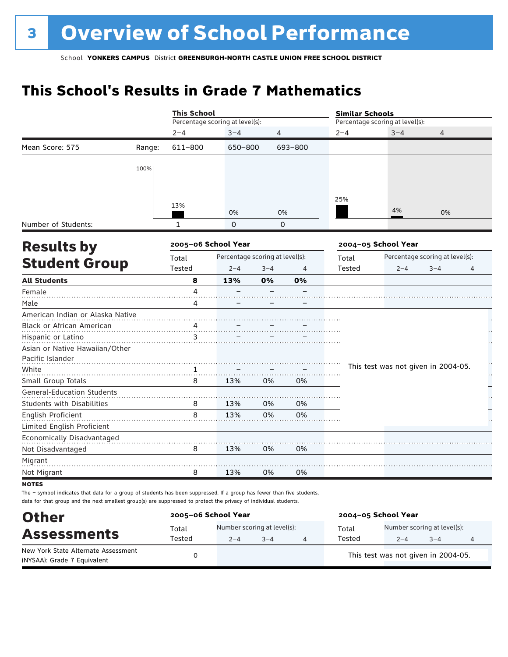## **This School's Results in Grade 7 Mathematics**

|                                   |        | <b>This School</b>  |                                 |                |         | <b>Similar Schools</b> |                                     |                                 |    |  |
|-----------------------------------|--------|---------------------|---------------------------------|----------------|---------|------------------------|-------------------------------------|---------------------------------|----|--|
|                                   |        |                     | Percentage scoring at level(s): |                |         |                        | Percentage scoring at level(s):     |                                 |    |  |
|                                   |        | $2 - 4$             | $3 - 4$                         | $\overline{4}$ |         | $2 - 4$                | $3 - 4$                             | $\overline{4}$                  |    |  |
| Mean Score: 575                   | Range: | 611-800             | 650-800                         |                | 693-800 |                        |                                     |                                 |    |  |
|                                   | 100%   |                     |                                 |                |         |                        |                                     |                                 |    |  |
|                                   |        |                     |                                 |                |         |                        |                                     |                                 |    |  |
|                                   |        | 13%                 | 0%                              | 0%             |         | 25%                    | 4%                                  | 0%                              |    |  |
| Number of Students:               |        | 1                   | $\Omega$                        | $\Omega$       |         |                        |                                     |                                 |    |  |
| <b>Results by</b>                 |        | 2005-06 School Year |                                 |                |         |                        | 2004-05 School Year                 |                                 |    |  |
|                                   |        | Total               | Percentage scoring at level(s): |                |         | Total                  |                                     | Percentage scoring at level(s): |    |  |
| <b>Student Group</b>              |        | Tested              | $2 - 4$                         | $3 - 4$        | 4       | Tested                 | $2 - 4$                             | $3 - 4$                         | 4  |  |
| <b>All Students</b>               |        | 8                   | 13%                             | 0%             | 0%      |                        |                                     |                                 |    |  |
| Female                            |        | 4                   |                                 |                |         |                        |                                     |                                 |    |  |
| Male                              |        | 4                   |                                 |                |         |                        |                                     |                                 |    |  |
| American Indian or Alaska Native  |        |                     |                                 |                |         |                        |                                     |                                 |    |  |
| Black or African American         |        |                     |                                 |                |         |                        |                                     |                                 |    |  |
| Hispanic or Latino                |        | 3                   |                                 |                |         |                        |                                     |                                 |    |  |
| Asian or Native Hawaiian/Other    |        |                     |                                 |                |         |                        |                                     |                                 |    |  |
| Pacific Islander                  |        |                     |                                 |                |         |                        |                                     |                                 | ÷, |  |
| White                             |        | 1                   |                                 |                |         |                        | This test was not given in 2004-05. |                                 | μ, |  |
| Small Group Totals                |        | 8                   | 13%                             | 0%             | 0%      |                        |                                     |                                 |    |  |
| <b>General-Education Students</b> |        |                     |                                 |                |         |                        |                                     |                                 |    |  |
| <b>Students with Disabilities</b> |        | 8                   | 13%                             | 0%             | 0%      |                        |                                     |                                 |    |  |
| English Proficient                |        | 8                   | 13%                             | 0%             | 0%      |                        |                                     |                                 |    |  |
| Limited English Proficient        |        |                     |                                 |                |         |                        |                                     |                                 |    |  |
| Economically Disadvantaged        |        |                     |                                 |                |         |                        |                                     |                                 |    |  |
| Not Disadvantaged                 |        | 8                   | 13%                             | 0%             | 0%      |                        |                                     |                                 |    |  |
| Migrant                           |        |                     |                                 |                |         |                        |                                     |                                 |    |  |
| Not Migrant                       |        | 8                   | 13%                             | 0%             | 0%      |                        |                                     |                                 |    |  |
| <b>NOTES</b>                      |        |                     |                                 |                |         |                        |                                     |                                 |    |  |

The – symbol indicates that data for a group of students has been suppressed. If a group has fewer than five students, data for that group and the next smallest group(s) are suppressed to protect the privacy of individual students.

| <b>Other</b>                                                       | 2005-06 School Year |                             |         | 2004-05 School Year |        |                                     |      |   |
|--------------------------------------------------------------------|---------------------|-----------------------------|---------|---------------------|--------|-------------------------------------|------|---|
| <b>Assessments</b>                                                 | Total               | Number scoring at level(s): |         |                     | Total  | Number scoring at level(s):         |      |   |
|                                                                    | Tested              | $2 - 4$                     | $3 - 4$ |                     | Tested | $2 - 4$                             | $-4$ | 4 |
| New York State Alternate Assessment<br>(NYSAA): Grade 7 Equivalent |                     |                             |         |                     |        | This test was not given in 2004-05. |      |   |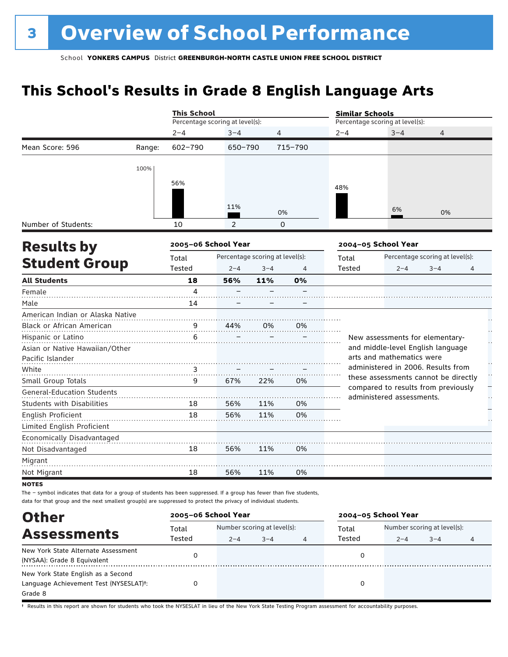## **This School's Results in Grade 8 English Language Arts**

|                                   |        | <b>This School</b>              |                                 |         |          | <b>Similar Schools</b> |                                 |                                                                             |                          |
|-----------------------------------|--------|---------------------------------|---------------------------------|---------|----------|------------------------|---------------------------------|-----------------------------------------------------------------------------|--------------------------|
|                                   |        | Percentage scoring at level(s): |                                 |         |          |                        | Percentage scoring at level(s): |                                                                             |                          |
|                                   |        | $2 - 4$                         | $3 - 4$                         | 4       |          | $2 - 4$                | $3 - 4$                         | 4                                                                           |                          |
| Mean Score: 596                   | Range: | 602-790                         | 650-790                         |         | 715-790  |                        |                                 |                                                                             |                          |
|                                   | 100%   |                                 |                                 |         |          |                        |                                 |                                                                             |                          |
|                                   |        | 56%                             |                                 |         |          | 48%                    |                                 |                                                                             |                          |
|                                   |        |                                 |                                 |         |          |                        |                                 |                                                                             |                          |
|                                   |        |                                 | 11%                             |         | 0%       |                        | 6%                              | 0%                                                                          |                          |
| Number of Students:               |        | 10                              | 2                               |         | $\Omega$ |                        |                                 |                                                                             |                          |
| <b>Results by</b>                 |        | 2005-06 School Year             |                                 |         |          |                        | 2004-05 School Year             |                                                                             |                          |
|                                   |        | Total                           | Percentage scoring at level(s): |         |          | Total                  |                                 | Percentage scoring at level(s):                                             |                          |
| <b>Student Group</b>              |        | Tested                          | $2 - 4$                         | $3 - 4$ | 4        | Tested                 | $2 - 4$                         | $3 - 4$                                                                     | 4                        |
| <b>All Students</b>               |        | 18                              | 56%                             | 11%     | 0%       |                        |                                 |                                                                             |                          |
| Female                            |        | 4                               |                                 |         |          |                        |                                 |                                                                             |                          |
| Male                              |        | 14                              |                                 |         |          |                        |                                 |                                                                             |                          |
| American Indian or Alaska Native  |        |                                 |                                 |         |          |                        |                                 |                                                                             |                          |
| Black or African American         |        | 9                               | 44%                             | 0%      | 0%       |                        |                                 |                                                                             |                          |
| Hispanic or Latino                |        | 6                               |                                 |         |          |                        |                                 | New assessments for elementary-                                             |                          |
| Asian or Native Hawaiian/Other    |        |                                 |                                 |         |          |                        |                                 | and middle-level English language                                           |                          |
| Pacific Islander                  |        |                                 |                                 |         |          |                        | arts and mathematics were       |                                                                             |                          |
| White                             |        | 3                               |                                 |         |          |                        |                                 | administered in 2006. Results from                                          | $\ddot{\phantom{0}}$     |
| Small Group Totals                |        | 9                               | 67%                             | 22%     | 0%       |                        |                                 | these assessments cannot be directly<br>compared to results from previously | $\overline{\phantom{0}}$ |
| <b>General-Education Students</b> |        |                                 |                                 |         |          |                        | administered assessments.       |                                                                             |                          |
| <b>Students with Disabilities</b> |        | 18                              | 56%                             | 11%     | 0%       |                        |                                 |                                                                             |                          |
| English Proficient                |        | 18                              | 56%                             | 11%     | 0%       |                        |                                 |                                                                             |                          |
| Limited English Proficient        |        |                                 |                                 |         |          |                        |                                 |                                                                             |                          |
| Economically Disadvantaged        |        |                                 |                                 |         |          |                        |                                 |                                                                             |                          |
| Not Disadvantaged                 |        | 18                              | 56%                             | 11%     | 0%       |                        |                                 |                                                                             |                          |
| Migrant                           |        |                                 |                                 |         |          |                        |                                 |                                                                             |                          |
| Not Migrant                       |        | 18                              | 56%                             | 11%     | 0%       |                        |                                 |                                                                             |                          |
| <b>NOTES</b>                      |        |                                 |                                 |         |          |                        |                                 |                                                                             |                          |

The – symbol indicates that data for a group of students has been suppressed. If a group has fewer than five students, data for that group and the next smallest group(s) are suppressed to protect the privacy of individual students.

| <b>Other</b>                                                                                         | 2005-06 School Year |         |                                        |   | 2004-05 School Year |         |                                        |  |
|------------------------------------------------------------------------------------------------------|---------------------|---------|----------------------------------------|---|---------------------|---------|----------------------------------------|--|
| <b>Assessments</b>                                                                                   | Total<br>Tested     | $2 - 4$ | Number scoring at level(s):<br>$3 - 4$ | 4 | Total<br>Tested     | $2 - 4$ | Number scoring at level(s):<br>$3 - 4$ |  |
| New York State Alternate Assessment<br>(NYSAA): Grade 8 Equivalent                                   |                     |         |                                        |   |                     |         |                                        |  |
| New York State English as a Second<br>Language Achievement Test (NYSESLAT) <sup>+</sup> :<br>Grade 8 |                     |         |                                        |   |                     |         |                                        |  |

† Results in this report are shown for students who took the NYSESLAT in lieu of the New York State Testing Program assessment for accountability purposes.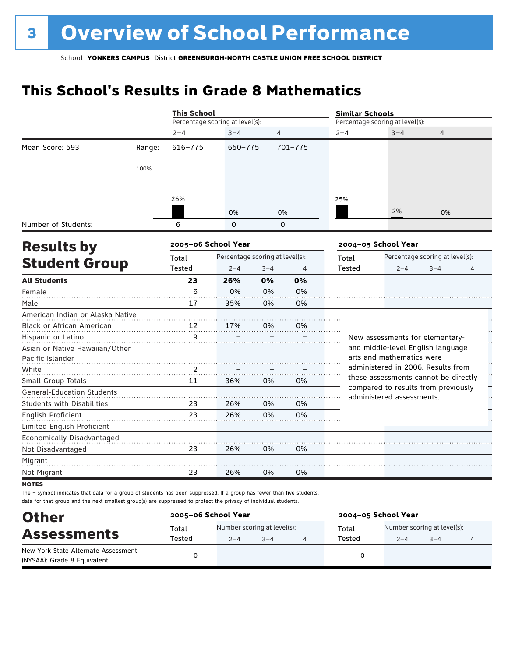## **This School's Results in Grade 8 Mathematics**

|                                   |        | <b>This School</b>  |                                 |          |         | <b>Similar Schools</b> |                                                                  |                                 |                   |  |
|-----------------------------------|--------|---------------------|---------------------------------|----------|---------|------------------------|------------------------------------------------------------------|---------------------------------|-------------------|--|
|                                   |        |                     | Percentage scoring at level(s): |          |         |                        | Percentage scoring at level(s):                                  |                                 |                   |  |
|                                   |        | $2 - 4$             | $3 - 4$                         | 4        |         | $2 - 4$                | $3 - 4$                                                          | $\overline{4}$                  |                   |  |
| Mean Score: 593                   | Range: | $616 - 775$         | 650-775                         |          | 701-775 |                        |                                                                  |                                 |                   |  |
|                                   | 100%   |                     |                                 |          |         |                        |                                                                  |                                 |                   |  |
|                                   |        |                     |                                 |          |         |                        |                                                                  |                                 |                   |  |
|                                   |        | 26%                 |                                 |          |         | 25%                    |                                                                  |                                 |                   |  |
|                                   |        |                     | 0%                              | 0%       |         |                        | 2%                                                               | 0%                              |                   |  |
| Number of Students:               |        | 6                   | $\Omega$                        | $\Omega$ |         |                        |                                                                  |                                 |                   |  |
| <b>Results by</b>                 |        | 2005-06 School Year |                                 |          |         |                        | 2004-05 School Year                                              |                                 |                   |  |
|                                   |        | Total               | Percentage scoring at level(s): |          |         | Total                  |                                                                  | Percentage scoring at level(s): |                   |  |
| <b>Student Group</b>              |        | Tested              | $2 - 4$                         | $3 - 4$  | 4       | Tested                 | $2 - 4$                                                          | $3 - 4$                         | $\overline{4}$    |  |
| <b>All Students</b>               |        | 23                  | 26%                             | 0%       | 0%      |                        |                                                                  |                                 |                   |  |
| Female                            |        | 6                   | 0%                              | 0%       | 0%      |                        |                                                                  |                                 |                   |  |
| Male                              |        | 17                  | 35%                             | 0%       | 0%      |                        |                                                                  |                                 |                   |  |
| American Indian or Alaska Native  |        |                     |                                 |          |         |                        |                                                                  |                                 |                   |  |
| Black or African American         |        | 12                  | 17%                             | 0%       | 0%      |                        |                                                                  |                                 |                   |  |
| Hispanic or Latino                |        | 9                   |                                 |          |         |                        | New assessments for elementary-                                  |                                 | Ļ,                |  |
| Asian or Native Hawaiian/Other    |        |                     |                                 |          |         |                        | and middle-level English language                                |                                 |                   |  |
| Pacific Islander                  |        |                     |                                 |          |         |                        | arts and mathematics were                                        |                                 |                   |  |
| White                             |        | 2                   |                                 |          |         |                        | administered in 2006. Results from                               |                                 | $\prod_{i=1}^{n}$ |  |
| Small Group Totals                |        | 11                  | 36%                             | 0%       | 0%      |                        | these assessments cannot be directly                             |                                 |                   |  |
| <b>General-Education Students</b> |        |                     |                                 |          |         |                        | compared to results from previously<br>administered assessments. |                                 | μ.                |  |
| <b>Students with Disabilities</b> |        | 23                  | 26%                             | 0%       | 0%      |                        |                                                                  |                                 |                   |  |
| English Proficient                |        | 23                  | 26%                             | 0%       | 0%      |                        |                                                                  |                                 |                   |  |
| Limited English Proficient        |        |                     |                                 |          |         |                        |                                                                  |                                 |                   |  |
| Economically Disadvantaged        |        |                     |                                 |          |         |                        |                                                                  |                                 |                   |  |
| Not Disadvantaged                 |        | 23                  | 26%                             | 0%       | 0%      |                        |                                                                  |                                 |                   |  |
| Migrant                           |        |                     |                                 |          |         |                        |                                                                  |                                 |                   |  |
| Not Migrant                       |        | 23                  | 26%                             | 0%       | 0%      |                        |                                                                  |                                 |                   |  |
| <b>NOTES</b>                      |        |                     |                                 |          |         |                        |                                                                  |                                 |                   |  |

The – symbol indicates that data for a group of students has been suppressed. If a group has fewer than five students, data for that group and the next smallest group(s) are suppressed to protect the privacy of individual students.

| <b>Other</b>                        | 2005-06 School Year |         |                             | 2004-05 School Year |                             |         |  |
|-------------------------------------|---------------------|---------|-----------------------------|---------------------|-----------------------------|---------|--|
| <b>Assessments</b>                  | Total               |         | Number scoring at level(s): | Total               | Number scoring at level(s): |         |  |
|                                     | Tested              | $2 - 4$ | $3 - 4$                     | Tested              | $2 - 4$                     | $3 - 4$ |  |
| New York State Alternate Assessment |                     |         |                             |                     |                             |         |  |
| (NYSAA): Grade 8 Equivalent         |                     |         |                             |                     |                             |         |  |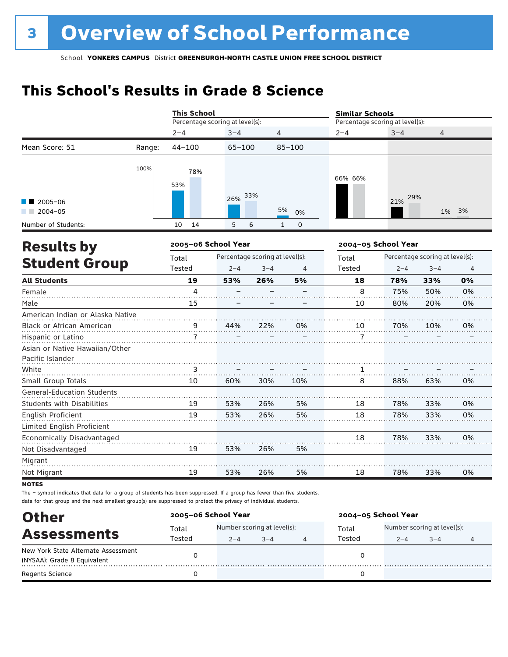## **This School's Results in Grade 8 Science**

|                                                    |        | <b>This School</b>  |                                 |         |                   | <b>Similar Schools</b>          |                     |                                 |       |  |
|----------------------------------------------------|--------|---------------------|---------------------------------|---------|-------------------|---------------------------------|---------------------|---------------------------------|-------|--|
|                                                    |        |                     | Percentage scoring at level(s): |         |                   | Percentage scoring at level(s): |                     |                                 |       |  |
|                                                    |        | $2 - 4$             | $3 - 4$                         | 4       |                   | $2 - 4$                         | $3 - 4$             | 4                               |       |  |
| Mean Score: 51                                     | Range: | $44 - 100$          | $65 - 100$                      |         | $85 - 100$        |                                 |                     |                                 |       |  |
|                                                    | 100%   | 78%<br>53%          |                                 |         |                   | 66% 66%                         |                     |                                 |       |  |
| 2005-06<br>$2004 - 05$                             |        |                     | 26%                             | 33%     | 5%<br>0%          |                                 | 29%<br>21%          |                                 | 1% 3% |  |
| Number of Students:                                |        | 14<br>10            | 5                               | 6       | $\mathbf{1}$<br>0 |                                 |                     |                                 |       |  |
| <b>Results by</b>                                  |        | 2005-06 School Year |                                 |         |                   |                                 | 2004-05 School Year |                                 |       |  |
|                                                    |        | Total               | Percentage scoring at level(s): |         |                   | Total                           |                     | Percentage scoring at level(s): |       |  |
| <b>Student Group</b>                               |        | Tested              | $2 - 4$                         | $3 - 4$ | 4                 | Tested                          | $2 - 4$             | $3 - 4$                         | 4     |  |
| <b>All Students</b>                                |        | 19                  | 53%                             | 26%     | 5%                | 18                              | 78%                 | 33%                             | 0%    |  |
| Female                                             |        | 4                   |                                 |         |                   | 8                               | 75%                 | 50%                             | 0%    |  |
| Male                                               |        | 15                  |                                 |         |                   | 10                              | 80%                 | 20%                             | 0%    |  |
| American Indian or Alaska Native                   |        |                     |                                 |         |                   |                                 |                     |                                 |       |  |
| Black or African American                          |        | $\overline{9}$ .    | 44%                             | 22%     | 0%                | 10                              | 70%                 | 10%                             | 0%    |  |
| Hispanic or Latino                                 |        | $\mathbf{7}$        |                                 |         |                   | $\mathbf{7}$                    |                     |                                 |       |  |
| Asian or Native Hawaiian/Other<br>Pacific Islander |        |                     |                                 |         |                   |                                 |                     |                                 |       |  |
| White                                              |        | 3                   |                                 |         |                   | 1                               |                     |                                 |       |  |
| Small Group Totals                                 |        | 10                  | 60%                             | 30%     | 10%               | 8                               | 88%                 | 63%                             | 0%    |  |
| <b>General-Education Students</b>                  |        |                     |                                 |         |                   |                                 |                     |                                 |       |  |
| <b>Students with Disabilities</b>                  |        | 19                  | 53%                             | 26%     | 5%                | 18                              | 78%                 | 33%                             | 0%    |  |
| English Proficient                                 |        | 19                  | 53%                             | 26%     | 5%                | 18                              | 78%                 | 33%                             | 0%    |  |
| Limited English Proficient                         |        |                     |                                 |         |                   |                                 |                     |                                 |       |  |
| Economically Disadvantaged                         |        |                     |                                 |         |                   | 18                              | 78%                 | 33%                             | 0%    |  |
| Not Disadvantaged                                  |        | 19                  | 53%                             | 26%     | 5%                |                                 |                     |                                 |       |  |
| Migrant                                            |        |                     |                                 |         |                   |                                 |                     |                                 |       |  |
| Not Migrant                                        |        | 19                  | 53%                             | 26%     | 5%                | 18                              | 78%                 | 33%                             | 0%    |  |
| <b>NOTES</b>                                       |        |                     |                                 |         |                   |                                 |                     |                                 |       |  |

The – symbol indicates that data for a group of students has been suppressed. If a group has fewer than five students, data for that group and the next smallest group(s) are suppressed to protect the privacy of individual students.

| <b>Other</b>                        | 2005-06 School Year |                             |         |  | 2004-05 School Year |                             |         |  |
|-------------------------------------|---------------------|-----------------------------|---------|--|---------------------|-----------------------------|---------|--|
|                                     | Total               | Number scoring at level(s): |         |  | Total               | Number scoring at level(s): |         |  |
| <b>Assessments</b>                  | Tested              | $2 - 4$                     | $3 - 4$ |  | Tested              | $2 - 4$                     | $3 - 4$ |  |
| New York State Alternate Assessment |                     |                             |         |  |                     |                             |         |  |
| (NYSAA): Grade 8 Equivalent         |                     |                             |         |  |                     |                             |         |  |
| <b>Regents Science</b>              |                     |                             |         |  |                     |                             |         |  |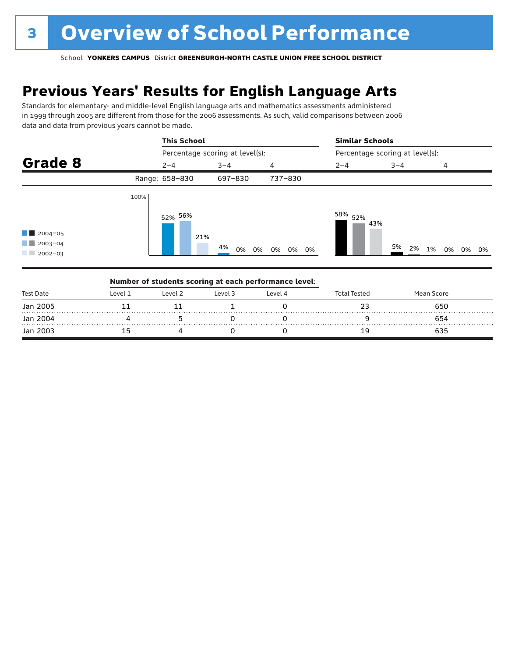## **Previous Years' Results for English Language Arts**

Standards for elementary- and middle-level English language arts and mathematics assessments administered in 1999 through 2005 are different from those for the 2006 assessments. As such, valid comparisons between 2006 data and data from previous years cannot be made.

|                                                                  |      | <b>This School</b>              |                | <b>Similar Schools</b> |                                 |         |                |  |  |
|------------------------------------------------------------------|------|---------------------------------|----------------|------------------------|---------------------------------|---------|----------------|--|--|
|                                                                  |      | Percentage scoring at level(s): |                |                        | Percentage scoring at level(s): |         |                |  |  |
| Grade 8                                                          |      | $2 - 4$                         | $3 - 4$        | 4                      | $2 - 4$                         | $3 - 4$ | 4              |  |  |
|                                                                  |      | Range: 658-830                  | 697-830        | 737-830                |                                 |         |                |  |  |
| $\blacksquare$ 2004-05<br>$\blacksquare$ 2003-04<br>$12002 - 03$ | 100% | 52% 56%<br>21%                  | 4%<br>0%<br>0% | 0% 0% 0%               | 58% <sub>52%</sub><br>43%       | 5%      | 2% 1% 0% 0% 0% |  |  |

|           |         |         | Number of students scoring at each performance level: |         |                     |            |  |
|-----------|---------|---------|-------------------------------------------------------|---------|---------------------|------------|--|
| Test Date | Level 1 | Level 2 | Level 3                                               | Level 4 | <b>Total Tested</b> | Mean Score |  |
| Jan 2005  |         |         |                                                       |         |                     | 650        |  |
| Jan 2004  |         |         |                                                       |         |                     | 654        |  |
| Jan 2003  |         |         |                                                       |         | 19                  | 635        |  |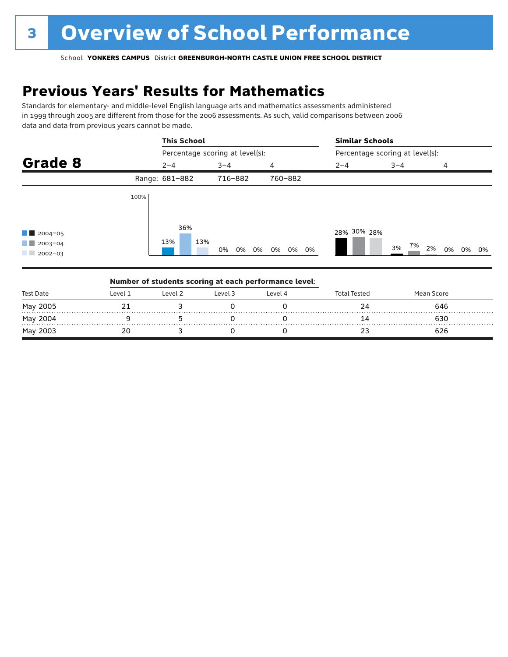## **Previous Years' Results for Mathematics**

Standards for elementary- and middle-level English language arts and mathematics assessments administered in 1999 through 2005 are different from those for the 2006 assessments. As such, valid comparisons between 2006 data and data from previous years cannot be made.

|                                                       |      | <b>This School</b> |                                 |          | <b>Similar Schools</b> |                                 |    |          |  |
|-------------------------------------------------------|------|--------------------|---------------------------------|----------|------------------------|---------------------------------|----|----------|--|
|                                                       |      |                    | Percentage scoring at level(s): |          |                        | Percentage scoring at level(s): |    |          |  |
| Grade 8                                               |      | $2 - 4$            | $3 - 4$                         | 4        | $2 - 4$                | $3 - 4$                         | 4  |          |  |
|                                                       |      | Range: 681-882     | 716-882                         | 760-882  |                        |                                 |    |          |  |
| $12004 - 05$<br>$12003 - 04$<br>a sa s<br>$2002 - 03$ | 100% | 36%<br>13%<br>13%  | 0%<br>0%<br>0%                  | 0% 0% 0% | 28% 30% 28%            | 7%<br>3%                        | 2% | 0% 0% 0% |  |

|           |         |         | Number of students scoring at each performance level: |         |              |            |  |
|-----------|---------|---------|-------------------------------------------------------|---------|--------------|------------|--|
| Test Date | Level 1 | Level 2 | Level 3                                               | Level 4 | Total Tested | Mean Score |  |
| May 2005  |         |         |                                                       |         |              | 646        |  |
| May 2004  |         |         |                                                       |         |              | 630        |  |
| May 2003  |         |         |                                                       |         |              | 626        |  |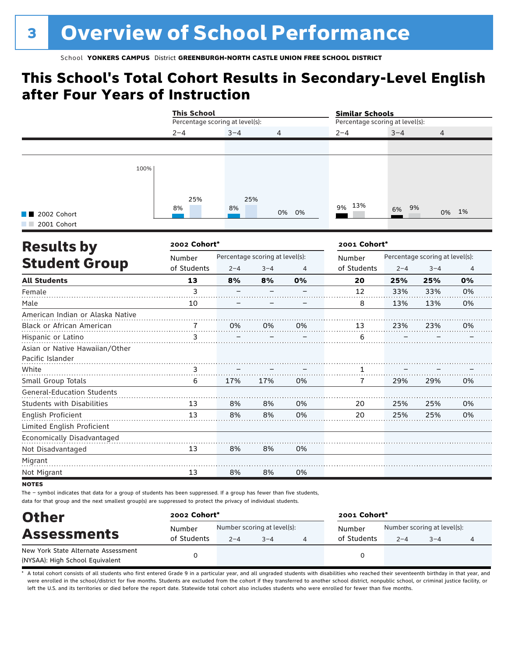### **This School's Total Cohort Results in Secondary-Level English after Four Years of Instruction**

|                                                    | <b>This School</b>              |         |                                 | <b>Similar Schools</b> |                                 |          |                                 |       |
|----------------------------------------------------|---------------------------------|---------|---------------------------------|------------------------|---------------------------------|----------|---------------------------------|-------|
|                                                    | Percentage scoring at level(s): |         |                                 |                        | Percentage scoring at level(s): |          |                                 |       |
|                                                    | $2 - 4$                         | $3 - 4$ | 4                               |                        | $2 - 4$                         | $3 - 4$  | 4                               |       |
|                                                    |                                 |         |                                 |                        |                                 |          |                                 |       |
| 100%                                               |                                 |         |                                 |                        |                                 |          |                                 |       |
|                                                    | 25%                             |         | 25%                             |                        |                                 |          |                                 |       |
| <b>B</b> 2002 Cohort                               | 8%                              | 8%      |                                 | 0% 0%                  | 13%<br>9%                       | 9%<br>6% |                                 | 0% 1% |
| 2001 Cohort                                        |                                 |         |                                 |                        |                                 |          |                                 |       |
| <b>Results by</b>                                  | 2002 Cohort*                    |         |                                 |                        | 2001 Cohort*                    |          |                                 |       |
|                                                    | Number                          |         | Percentage scoring at level(s): |                        | Number                          |          | Percentage scoring at level(s): |       |
| <b>Student Group</b>                               | of Students                     | $2 - 4$ | $3 - 4$                         | 4                      | of Students                     | $2 - 4$  | $3 - 4$                         | 4     |
| <b>All Students</b>                                | 13                              | 8%      | 8%                              | 0%                     | 20                              | 25%      | 25%                             | 0%    |
| Female                                             | $\overline{3}$                  |         |                                 |                        | 12                              | 33%      | 33%                             | 0%    |
| Male                                               | 10                              |         |                                 |                        | 8                               | 13%      | 13%                             | 0%    |
| American Indian or Alaska Native                   |                                 |         |                                 |                        |                                 |          |                                 |       |
| Black or African American                          | 7                               | 0%      | 0%                              | 0%                     | 13                              | 23%      | 23%                             | 0%    |
| Hispanic or Latino                                 | 3                               |         |                                 |                        | 6                               |          |                                 |       |
| Asian or Native Hawaiian/Other<br>Pacific Islander |                                 |         |                                 |                        |                                 |          |                                 |       |
| White                                              | 3                               |         |                                 |                        | 1                               |          |                                 |       |
| Small Group Totals                                 | 6                               | 17%     | 17%                             | 0%                     | 7                               | 29%      | 29%                             | 0%    |
| <b>General-Education Students</b>                  |                                 |         |                                 |                        |                                 |          |                                 |       |
| <b>Students with Disabilities</b>                  | 13                              | 8%      | 8%                              | 0%                     | 20                              | 25%      | 25%                             | 0%    |
| English Proficient                                 | 13                              | 8%      | 8%                              | 0%                     | 20                              | 25%      | 25%                             | 0%    |
| Limited English Proficient                         |                                 |         |                                 |                        |                                 |          |                                 |       |
| Economically Disadvantaged                         |                                 |         |                                 |                        |                                 |          |                                 |       |
| Not Disadvantaged                                  | 13                              | 8%      | 8%                              | 0%                     |                                 |          |                                 |       |
| Migrant                                            |                                 |         |                                 |                        |                                 |          |                                 |       |
| Not Migrant                                        | 13                              | 8%      | 8%                              | 0%                     |                                 |          |                                 |       |
|                                                    |                                 |         |                                 |                        |                                 |          |                                 |       |

notes

The – symbol indicates that data for a group of students has been suppressed. If a group has fewer than five students, data for that group and the next smallest group(s) are suppressed to protect the privacy of individual students.

| <b>Other</b>                        | 2002 Cohort* |                             |         |  | 2001 Cohort* |                             |         |  |  |
|-------------------------------------|--------------|-----------------------------|---------|--|--------------|-----------------------------|---------|--|--|
| <b>Assessments</b>                  | Number       | Number scoring at level(s): |         |  | Number       | Number scoring at level(s): |         |  |  |
|                                     | of Students  | $2 - 4$                     | $3 - 4$ |  | of Students  | $2 - 4$                     | $3 - 4$ |  |  |
| New York State Alternate Assessment |              |                             |         |  | 0            |                             |         |  |  |
| (NYSAA): High School Equivalent     |              |                             |         |  |              |                             |         |  |  |

A total cohort consists of all students who first entered Grade 9 in a particular year, and all ungraded students with disabilities who reached their seventeenth birthday in that year, and were enrolled in the school/district for five months. Students are excluded from the cohort if they transferred to another school district, nonpublic school, or criminal justice facility, or left the U.S. and its territories or died before the report date. Statewide total cohort also includes students who were enrolled for fewer than five months.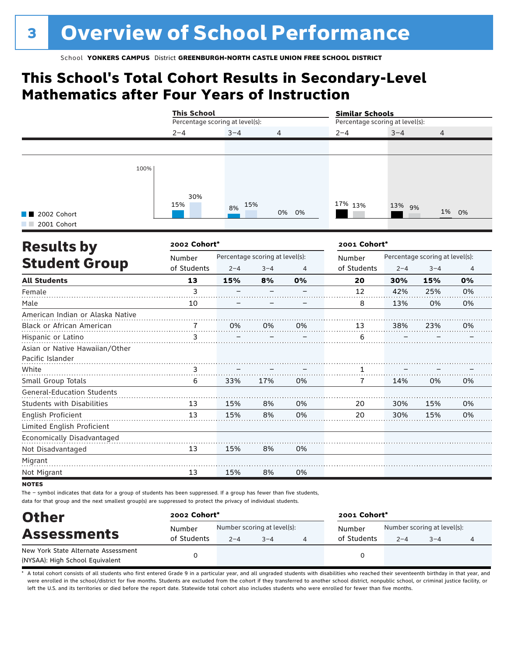### **This School's Total Cohort Results in Secondary-Level Mathematics after Four Years of Instruction**

|                                                    | <b>This School</b>              |                                 |         |       | <b>Similar Schools</b>          |         |                                 |       |
|----------------------------------------------------|---------------------------------|---------------------------------|---------|-------|---------------------------------|---------|---------------------------------|-------|
|                                                    | Percentage scoring at level(s): |                                 |         |       | Percentage scoring at level(s): |         |                                 |       |
|                                                    | $2 - 4$                         | $3 - 4$                         | 4       |       | $2 - 4$                         | $3 - 4$ | 4                               |       |
|                                                    |                                 |                                 |         |       |                                 |         |                                 |       |
| 100%                                               |                                 |                                 |         |       |                                 |         |                                 |       |
| 2002 Cohort                                        | 30%<br>15%                      | 8%                              | 15%     | 0% 0% | 17% 13%                         | 13% 9%  |                                 | 1% 0% |
| 2001 Cohort                                        |                                 |                                 |         |       |                                 |         |                                 |       |
| <b>Results by</b>                                  | 2002 Cohort*                    |                                 |         |       | 2001 Cohort*                    |         |                                 |       |
|                                                    | Number                          | Percentage scoring at level(s): |         |       | Number                          |         | Percentage scoring at level(s): |       |
| <b>Student Group</b>                               | of Students                     | $2 - 4$                         | $3 - 4$ | 4     | of Students                     | $2 - 4$ | $3 - 4$                         | 4     |
| <b>All Students</b>                                | 13                              | 15%                             | 8%      | 0%    | 20                              | 30%     | 15%                             | 0%    |
| Female                                             | 3                               |                                 |         |       | 12                              | 42%     | 25%                             | 0%    |
| Male                                               | 10                              |                                 |         |       | 8                               | 13%     | 0%                              | 0%    |
| American Indian or Alaska Native                   |                                 |                                 |         |       |                                 |         |                                 |       |
| Black or African American                          | 7                               | 0%                              | 0%      | 0%    | 13                              | 38%     | 23%                             | 0%    |
| Hispanic or Latino                                 | 3                               |                                 |         |       | 6                               |         |                                 |       |
| Asian or Native Hawaiian/Other<br>Pacific Islander |                                 |                                 |         |       |                                 |         |                                 |       |
| White                                              | 3                               |                                 |         |       | 1                               |         |                                 |       |
| Small Group Totals                                 | 6                               | 33%                             | 17%     | 0%    | 7                               | 14%     | 0%                              | 0%    |
| <b>General-Education Students</b>                  |                                 |                                 |         |       |                                 |         |                                 |       |
| <b>Students with Disabilities</b>                  | 13                              | 15%                             | 8%      | 0%    | 20                              | 30%     | 15%                             | 0%    |
| English Proficient                                 | 13                              | 15%                             | 8%      | 0%    | 20                              | 30%     | 15%                             | 0%    |
| Limited English Proficient                         |                                 |                                 |         |       |                                 |         |                                 |       |
| Economically Disadvantaged                         |                                 |                                 |         |       |                                 |         |                                 |       |
| Not Disadvantaged                                  | 13                              | 15%                             | 8%      | 0%    |                                 |         |                                 |       |
| Migrant                                            |                                 |                                 |         |       |                                 |         |                                 |       |
| Not Migrant                                        | 13                              | 15%                             | 8%      | 0%    |                                 |         |                                 |       |
| <b>NATEC</b>                                       |                                 |                                 |         |       |                                 |         |                                 |       |

**NOTES** 

The – symbol indicates that data for a group of students has been suppressed. If a group has fewer than five students, data for that group and the next smallest group(s) are suppressed to protect the privacy of individual students.

| <b>Other</b>                        | 2002 Cohort* |                             |         | 2001 Cohort* |             |                             |         |  |
|-------------------------------------|--------------|-----------------------------|---------|--------------|-------------|-----------------------------|---------|--|
|                                     | Number       | Number scoring at level(s): |         |              | Number      | Number scoring at level(s): |         |  |
| <b>Assessments</b>                  | of Students  | $2 - 4$                     | $3 - 4$ |              | of Students | $2 - 4$                     | $3 - 4$ |  |
| New York State Alternate Assessment |              |                             |         |              |             |                             |         |  |
| (NYSAA): High School Equivalent     |              |                             |         |              | 0           |                             |         |  |

A total cohort consists of all students who first entered Grade 9 in a particular year, and all ungraded students with disabilities who reached their seventeenth birthday in that year, and were enrolled in the school/district for five months. Students are excluded from the cohort if they transferred to another school district, nonpublic school, or criminal justice facility, or left the U.S. and its territories or died before the report date. Statewide total cohort also includes students who were enrolled for fewer than five months.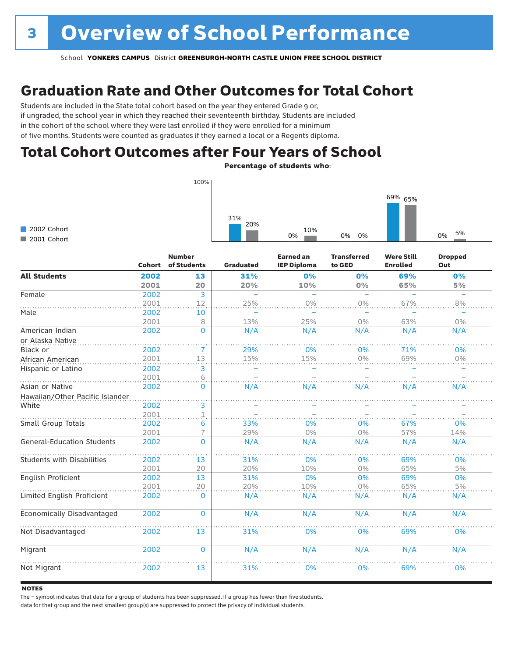### Graduation Rate and Other Outcomes for Total Cohort

Students are included in the State total cohort based on the year they entered Grade 9 or, if ungraded, the school year in which they reached their seventeenth birthday. Students are included in the cohort of the school where they were last enrolled if they were enrolled for a minimum of five months. Students were counted as graduates if they earned a local or a Regents diploma.

### Total Cohort Outcomes after Four Years of School

Percentage of students who:

| 100%                       |                                                 |  |
|----------------------------|-------------------------------------------------|--|
|                            | 69% 65%                                         |  |
| 2002 Cohort<br>2001 Cohort | 31%<br>20%<br>10%<br>5%<br>0%<br>0%<br>0%<br>0% |  |

|                                   | <b>Cohort</b> | <b>Number</b><br>of Students | Graduated | <b>Earned an</b><br><b>IEP Diploma</b> | <b>Transferred</b><br>to GED | <b>Were Still</b><br><b>Enrolled</b> | <b>Dropped</b><br>Out |
|-----------------------------------|---------------|------------------------------|-----------|----------------------------------------|------------------------------|--------------------------------------|-----------------------|
| <b>All Students</b>               | 2002          | 13                           | 31%       | 0%                                     | 0%                           | 69%                                  | 0%                    |
|                                   | 2001          | 20                           | 20%       | 10%                                    | $0\%$                        | 65%                                  | 5%                    |
| Female                            | 2002          | 3                            |           |                                        |                              |                                      |                       |
|                                   | 2001          | 12                           | 25%       | 0%                                     | 0%                           | 67%                                  | 8%                    |
| Male                              | 2002          | 10                           |           |                                        |                              |                                      |                       |
|                                   | 2001          | 8                            | 13%       | 25%                                    | $0\%$                        | 63%                                  | $0\%$                 |
| American Indian                   | 2002          | $\mathbf 0$                  | N/A       | N/A                                    | N/A                          | N/A                                  | N/A                   |
| or Alaska Native                  |               |                              |           |                                        |                              |                                      |                       |
| Black or                          | 2002          | 7                            | 29%       | 0%                                     | 0%                           | 71%                                  | 0%                    |
| African American                  | 2001          | 13                           | 15%       | 15%                                    | 0%                           | 69%                                  | $0\%$                 |
| Hispanic or Latino                | 2002          | 3                            |           |                                        |                              |                                      |                       |
|                                   | 2001          | 6                            |           |                                        |                              |                                      |                       |
| Asian or Native                   | 2002          | $\Omega$                     | N/A       | N/A                                    | N/A                          | N/A                                  | N/A                   |
| Hawaiian/Other Pacific Islander   |               |                              |           |                                        |                              |                                      |                       |
| White                             | 2002          | 3                            |           |                                        |                              |                                      |                       |
|                                   | 2001          | $\overline{1}$               |           |                                        |                              |                                      |                       |
| Small Group Totals                | 2002          | 6                            | 33%       | 0%                                     | 0%                           | 67%                                  | 0%                    |
|                                   | 2001          |                              | 29%       | 0%                                     | 0%                           | 57%                                  | 14%                   |
| <b>General-Education Students</b> | 2002          | $\Omega$                     | N/A       | N/A                                    | N/A                          | N/A                                  | N/A                   |
| <b>Students with Disabilities</b> | 2002          | 13                           | 31%       | 0%                                     | 0%                           | 69%                                  | 0%                    |
|                                   | 2001          | 20                           | 20%       | 10%                                    | 0%                           | 65%                                  | 5%                    |
| English Proficient                | 2002          | 13                           | 31%       | 0%                                     | 0%                           | 69%                                  | 0%                    |
|                                   | 2001          | 20                           | 20%       | 10%                                    | $0\%$                        | 65%                                  | 5%                    |
| Limited English Proficient        | 2002          | $\mathbf{0}$                 | N/A       | N/A                                    | N/A                          | N/A                                  | N/A                   |
| Economically Disadvantaged        | 2002          | $\mathbf{0}$                 | N/A       | N/A                                    | N/A                          | N/A                                  | N/A                   |
| Not Disadvantaged                 | 2002          | 13                           | 31%       | 0%                                     | 0%                           | 69%                                  | 0%                    |
| Migrant                           | 2002          | $\mathbf 0$                  | N/A       | N/A                                    | N/A                          | N/A                                  | N/A                   |
| Not Migrant                       | 2002          | 13                           | 31%       | 0%                                     | 0%                           | 69%                                  | 0%                    |

#### **NOTES**

The – symbol indicates that data for a group of students has been suppressed. If a group has fewer than five students,

data for that group and the next smallest group(s) are suppressed to protect the privacy of individual students.